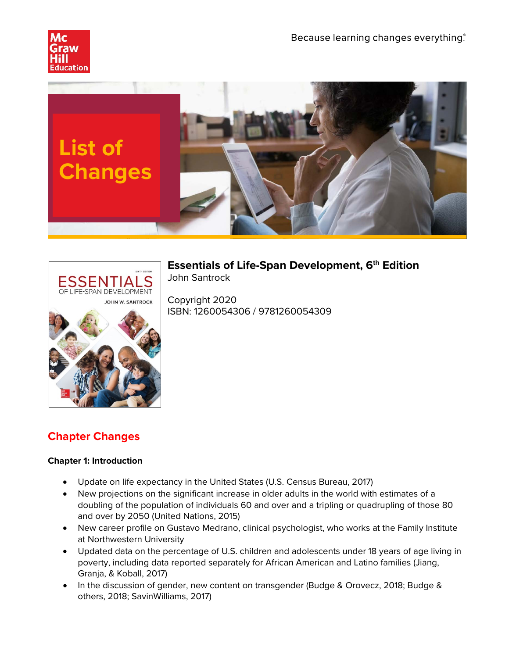





**Essentials of Life-Span Development, 6th Edition** John Santrock

Copyright 2020 ISBN: 1260054306 / 9781260054309

# **Chapter Changes**

#### **Chapter 1: Introduction**

- Update on life expectancy in the United States (U.S. Census Bureau, 2017)
- New projections on the significant increase in older adults in the world with estimates of a doubling of the population of individuals 60 and over and a tripling or quadrupling of those 80 and over by 2050 (United Nations, 2015)
- New career profile on Gustavo Medrano, clinical psychologist, who works at the Family Institute at Northwestern University
- Updated data on the percentage of U.S. children and adolescents under 18 years of age living in poverty, including data reported separately for African American and Latino families (Jiang, Granja, & Koball, 2017)
- In the discussion of gender, new content on transgender (Budge & Orovecz, 2018; Budge & others, 2018; SavinWilliams, 2017)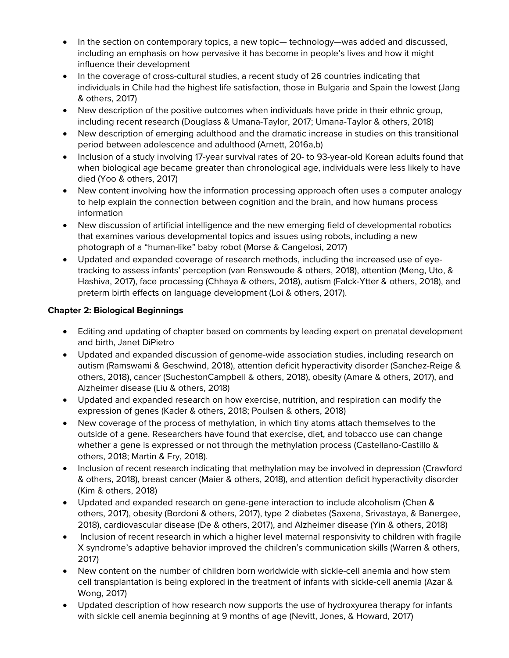- In the section on contemporary topics, a new topic— technology—was added and discussed, including an emphasis on how pervasive it has become in people's lives and how it might influence their development
- In the coverage of cross-cultural studies, a recent study of 26 countries indicating that individuals in Chile had the highest life satisfaction, those in Bulgaria and Spain the lowest (Jang & others, 2017)
- New description of the positive outcomes when individuals have pride in their ethnic group, including recent research (Douglass & Umana-Taylor, 2017; Umana-Taylor & others, 2018)
- New description of emerging adulthood and the dramatic increase in studies on this transitional period between adolescence and adulthood (Arnett, 2016a,b)
- Inclusion of a study involving 17-year survival rates of 20- to 93-year-old Korean adults found that when biological age became greater than chronological age, individuals were less likely to have died (Yoo & others, 2017)
- New content involving how the information processing approach often uses a computer analogy to help explain the connection between cognition and the brain, and how humans process information
- New discussion of artificial intelligence and the new emerging field of developmental robotics that examines various developmental topics and issues using robots, including a new photograph of a "human-like" baby robot (Morse & Cangelosi, 2017)
- Updated and expanded coverage of research methods, including the increased use of eyetracking to assess infants' perception (van Renswoude & others, 2018), attention (Meng, Uto, & Hashiva, 2017), face processing (Chhaya & others, 2018), autism (Falck-Ytter & others, 2018), and preterm birth effects on language development (Loi & others, 2017).

# **Chapter 2: Biological Beginnings**

- Editing and updating of chapter based on comments by leading expert on prenatal development and birth, Janet DiPietro
- Updated and expanded discussion of genome-wide association studies, including research on autism (Ramswami & Geschwind, 2018), attention deficit hyperactivity disorder (Sanchez-Reige & others, 2018), cancer (SuchestonCampbell & others, 2018), obesity (Amare & others, 2017), and Alzheimer disease (Liu & others, 2018)
- Updated and expanded research on how exercise, nutrition, and respiration can modify the expression of genes (Kader & others, 2018; Poulsen & others, 2018)
- New coverage of the process of methylation, in which tiny atoms attach themselves to the outside of a gene. Researchers have found that exercise, diet, and tobacco use can change whether a gene is expressed or not through the methylation process (Castellano-Castillo & others, 2018; Martin & Fry, 2018).
- Inclusion of recent research indicating that methylation may be involved in depression (Crawford & others, 2018), breast cancer (Maier & others, 2018), and attention deficit hyperactivity disorder (Kim & others, 2018)
- Updated and expanded research on gene-gene interaction to include alcoholism (Chen & others, 2017), obesity (Bordoni & others, 2017), type 2 diabetes (Saxena, Srivastaya, & Banergee, 2018), cardiovascular disease (De & others, 2017), and Alzheimer disease (Yin & others, 2018)
- Inclusion of recent research in which a higher level maternal responsivity to children with fragile X syndrome's adaptive behavior improved the children's communication skills (Warren & others, 2017)
- New content on the number of children born worldwide with sickle-cell anemia and how stem cell transplantation is being explored in the treatment of infants with sickle-cell anemia (Azar & Wong, 2017)
- Updated description of how research now supports the use of hydroxyurea therapy for infants with sickle cell anemia beginning at 9 months of age (Nevitt, Jones, & Howard, 2017)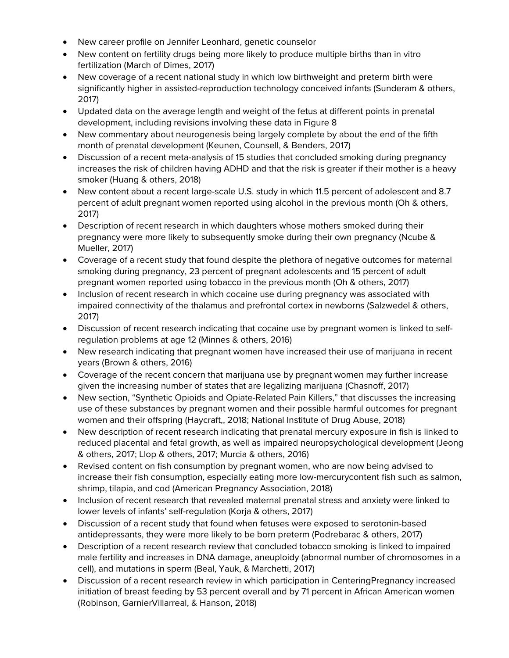- New career profile on Jennifer Leonhard, genetic counselor
- New content on fertility drugs being more likely to produce multiple births than in vitro fertilization (March of Dimes, 2017)
- New coverage of a recent national study in which low birthweight and preterm birth were significantly higher in assisted-reproduction technology conceived infants (Sunderam & others, 2017)
- Updated data on the average length and weight of the fetus at different points in prenatal development, including revisions involving these data in Figure 8
- New commentary about neurogenesis being largely complete by about the end of the fifth month of prenatal development (Keunen, Counsell, & Benders, 2017)
- Discussion of a recent meta-analysis of 15 studies that concluded smoking during pregnancy increases the risk of children having ADHD and that the risk is greater if their mother is a heavy smoker (Huang & others, 2018)
- New content about a recent large-scale U.S. study in which 11.5 percent of adolescent and 8.7 percent of adult pregnant women reported using alcohol in the previous month (Oh & others, 2017)
- Description of recent research in which daughters whose mothers smoked during their pregnancy were more likely to subsequently smoke during their own pregnancy (Ncube & Mueller, 2017)
- Coverage of a recent study that found despite the plethora of negative outcomes for maternal smoking during pregnancy, 23 percent of pregnant adolescents and 15 percent of adult pregnant women reported using tobacco in the previous month (Oh & others, 2017)
- Inclusion of recent research in which cocaine use during pregnancy was associated with impaired connectivity of the thalamus and prefrontal cortex in newborns (Salzwedel & others, 2017)
- Discussion of recent research indicating that cocaine use by pregnant women is linked to selfregulation problems at age 12 (Minnes & others, 2016)
- New research indicating that pregnant women have increased their use of marijuana in recent years (Brown & others, 2016)
- Coverage of the recent concern that marijuana use by pregnant women may further increase given the increasing number of states that are legalizing marijuana (Chasnoff, 2017)
- New section, "Synthetic Opioids and Opiate-Related Pain Killers," that discusses the increasing use of these substances by pregnant women and their possible harmful outcomes for pregnant women and their offspring (Haycraft,, 2018; National Institute of Drug Abuse, 2018)
- New description of recent research indicating that prenatal mercury exposure in fish is linked to reduced placental and fetal growth, as well as impaired neuropsychological development (Jeong & others, 2017; Llop & others, 2017; Murcia & others, 2016)
- Revised content on fish consumption by pregnant women, who are now being advised to increase their fish consumption, especially eating more low-mercurycontent fish such as salmon, shrimp, tilapia, and cod (American Pregnancy Association, 2018)
- Inclusion of recent research that revealed maternal prenatal stress and anxiety were linked to lower levels of infants' self-regulation (Korja & others, 2017)
- Discussion of a recent study that found when fetuses were exposed to serotonin-based antidepressants, they were more likely to be born preterm (Podrebarac & others, 2017)
- Description of a recent research review that concluded tobacco smoking is linked to impaired male fertility and increases in DNA damage, aneuploidy (abnormal number of chromosomes in a cell), and mutations in sperm (Beal, Yauk, & Marchetti, 2017)
- Discussion of a recent research review in which participation in CenteringPregnancy increased initiation of breast feeding by 53 percent overall and by 71 percent in African American women (Robinson, GarnierVillarreal, & Hanson, 2018)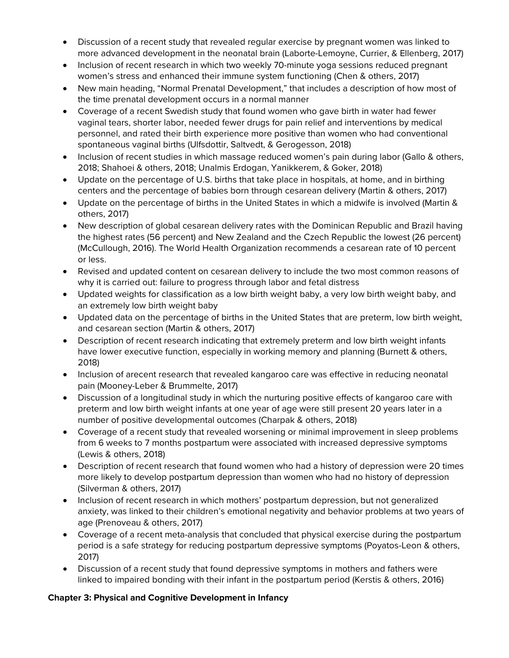- Discussion of a recent study that revealed regular exercise by pregnant women was linked to more advanced development in the neonatal brain (Laborte-Lemoyne, Currier, & Ellenberg, 2017)
- Inclusion of recent research in which two weekly 70-minute yoga sessions reduced pregnant women's stress and enhanced their immune system functioning (Chen & others, 2017)
- New main heading, "Normal Prenatal Development," that includes a description of how most of the time prenatal development occurs in a normal manner
- Coverage of a recent Swedish study that found women who gave birth in water had fewer vaginal tears, shorter labor, needed fewer drugs for pain relief and interventions by medical personnel, and rated their birth experience more positive than women who had conventional spontaneous vaginal births (Ulfsdottir, Saltvedt, & Gerogesson, 2018)
- Inclusion of recent studies in which massage reduced women's pain during labor (Gallo & others, 2018; Shahoei & others, 2018; Unalmis Erdogan, Yanikkerem, & Goker, 2018)
- Update on the percentage of U.S. births that take place in hospitals, at home, and in birthing centers and the percentage of babies born through cesarean delivery (Martin & others, 2017)
- Update on the percentage of births in the United States in which a midwife is involved (Martin & others, 2017)
- New description of global cesarean delivery rates with the Dominican Republic and Brazil having the highest rates (56 percent) and New Zealand and the Czech Republic the lowest (26 percent) (McCullough, 2016). The World Health Organization recommends a cesarean rate of 10 percent or less.
- Revised and updated content on cesarean delivery to include the two most common reasons of why it is carried out: failure to progress through labor and fetal distress
- Updated weights for classification as a low birth weight baby, a very low birth weight baby, and an extremely low birth weight baby
- Updated data on the percentage of births in the United States that are preterm, low birth weight, and cesarean section (Martin & others, 2017)
- Description of recent research indicating that extremely preterm and low birth weight infants have lower executive function, especially in working memory and planning (Burnett & others, 2018)
- Inclusion of arecent research that revealed kangaroo care was effective in reducing neonatal pain (Mooney-Leber & Brummelte, 2017)
- Discussion of a longitudinal study in which the nurturing positive effects of kangaroo care with preterm and low birth weight infants at one year of age were still present 20 years later in a number of positive developmental outcomes (Charpak & others, 2018)
- Coverage of a recent study that revealed worsening or minimal improvement in sleep problems from 6 weeks to 7 months postpartum were associated with increased depressive symptoms (Lewis & others, 2018)
- Description of recent research that found women who had a history of depression were 20 times more likely to develop postpartum depression than women who had no history of depression (Silverman & others, 2017)
- Inclusion of recent research in which mothers' postpartum depression, but not generalized anxiety, was linked to their children's emotional negativity and behavior problems at two years of age (Prenoveau & others, 2017)
- Coverage of a recent meta-analysis that concluded that physical exercise during the postpartum period is a safe strategy for reducing postpartum depressive symptoms (Poyatos-Leon & others, 2017)
- Discussion of a recent study that found depressive symptoms in mothers and fathers were linked to impaired bonding with their infant in the postpartum period (Kerstis & others, 2016)

#### **Chapter 3: Physical and Cognitive Development in Infancy**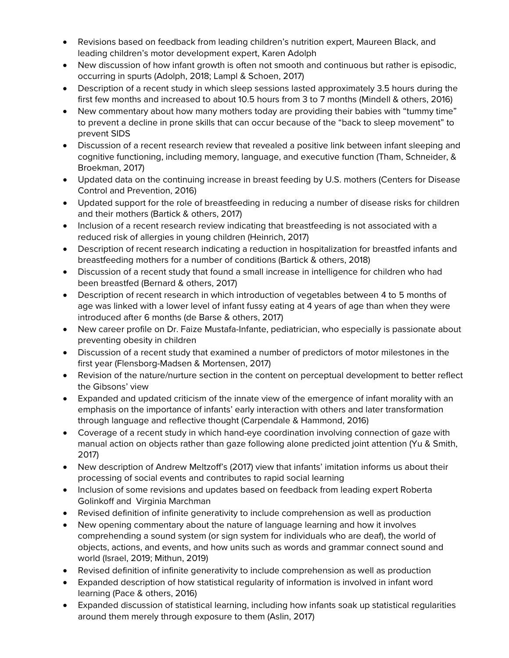- Revisions based on feedback from leading children's nutrition expert, Maureen Black, and leading children's motor development expert, Karen Adolph
- New discussion of how infant growth is often not smooth and continuous but rather is episodic, occurring in spurts (Adolph, 2018; Lampl & Schoen, 2017)
- Description of a recent study in which sleep sessions lasted approximately 3.5 hours during the first few months and increased to about 10.5 hours from 3 to 7 months (Mindell & others, 2016)
- New commentary about how many mothers today are providing their babies with "tummy time" to prevent a decline in prone skills that can occur because of the "back to sleep movement" to prevent SIDS
- Discussion of a recent research review that revealed a positive link between infant sleeping and cognitive functioning, including memory, language, and executive function (Tham, Schneider, & Broekman, 2017)
- Updated data on the continuing increase in breast feeding by U.S. mothers (Centers for Disease Control and Prevention, 2016)
- Updated support for the role of breastfeeding in reducing a number of disease risks for children and their mothers (Bartick & others, 2017)
- Inclusion of a recent research review indicating that breastfeeding is not associated with a reduced risk of allergies in young children (Heinrich, 2017)
- Description of recent research indicating a reduction in hospitalization for breastfed infants and breastfeeding mothers for a number of conditions (Bartick & others, 2018)
- Discussion of a recent study that found a small increase in intelligence for children who had been breastfed (Bernard & others, 2017)
- Description of recent research in which introduction of vegetables between 4 to 5 months of age was linked with a lower level of infant fussy eating at 4 years of age than when they were introduced after 6 months (de Barse & others, 2017)
- New career profile on Dr. Faize Mustafa-Infante, pediatrician, who especially is passionate about preventing obesity in children
- Discussion of a recent study that examined a number of predictors of motor milestones in the first year (Flensborg-Madsen & Mortensen, 2017)
- Revision of the nature/nurture section in the content on perceptual development to better reflect the Gibsons' view
- Expanded and updated criticism of the innate view of the emergence of infant morality with an emphasis on the importance of infants' early interaction with others and later transformation through language and reflective thought (Carpendale & Hammond, 2016)
- Coverage of a recent study in which hand-eye coordination involving connection of gaze with manual action on objects rather than gaze following alone predicted joint attention (Yu & Smith, 2017)
- New description of Andrew Meltzoff's (2017) view that infants' imitation informs us about their processing of social events and contributes to rapid social learning
- Inclusion of some revisions and updates based on feedback from leading expert Roberta Golinkoff and Virginia Marchman
- Revised definition of infinite generativity to include comprehension as well as production
- New opening commentary about the nature of language learning and how it involves comprehending a sound system (or sign system for individuals who are deaf), the world of objects, actions, and events, and how units such as words and grammar connect sound and world (Israel, 2019; Mithun, 2019)
- Revised definition of infinite generativity to include comprehension as well as production
- Expanded description of how statistical regularity of information is involved in infant word learning (Pace & others, 2016)
- Expanded discussion of statistical learning, including how infants soak up statistical regularities around them merely through exposure to them (Aslin, 2017)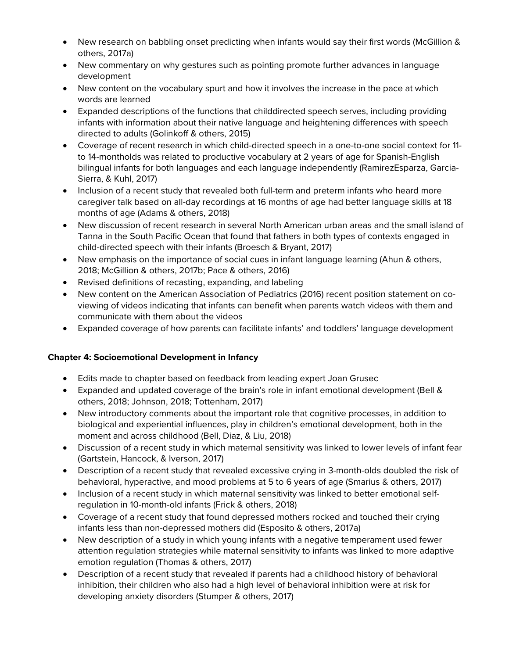- New research on babbling onset predicting when infants would say their first words (McGillion & others, 2017a)
- New commentary on why gestures such as pointing promote further advances in language development
- New content on the vocabulary spurt and how it involves the increase in the pace at which words are learned
- Expanded descriptions of the functions that childdirected speech serves, including providing infants with information about their native language and heightening differences with speech directed to adults (Golinkoff & others, 2015)
- Coverage of recent research in which child-directed speech in a one-to-one social context for 11 to 14-montholds was related to productive vocabulary at 2 years of age for Spanish-English bilingual infants for both languages and each language independently (RamirezEsparza, Garcia-Sierra, & Kuhl, 2017)
- Inclusion of a recent study that revealed both full-term and preterm infants who heard more caregiver talk based on all-day recordings at 16 months of age had better language skills at 18 months of age (Adams & others, 2018)
- New discussion of recent research in several North American urban areas and the small island of Tanna in the South Pacific Ocean that found that fathers in both types of contexts engaged in child-directed speech with their infants (Broesch & Bryant, 2017)
- New emphasis on the importance of social cues in infant language learning (Ahun & others, 2018; McGillion & others, 2017b; Pace & others, 2016)
- Revised definitions of recasting, expanding, and labeling
- New content on the American Association of Pediatrics (2016) recent position statement on coviewing of videos indicating that infants can benefit when parents watch videos with them and communicate with them about the videos
- Expanded coverage of how parents can facilitate infants' and toddlers' language development

# **Chapter 4: Socioemotional Development in Infancy**

- Edits made to chapter based on feedback from leading expert Joan Grusec
- Expanded and updated coverage of the brain's role in infant emotional development (Bell & others, 2018; Johnson, 2018; Tottenham, 2017)
- New introductory comments about the important role that cognitive processes, in addition to biological and experiential influences, play in children's emotional development, both in the moment and across childhood (Bell, Diaz, & Liu, 2018)
- Discussion of a recent study in which maternal sensitivity was linked to lower levels of infant fear (Gartstein, Hancock, & Iverson, 2017)
- Description of a recent study that revealed excessive crying in 3-month-olds doubled the risk of behavioral, hyperactive, and mood problems at 5 to 6 years of age (Smarius & others, 2017)
- Inclusion of a recent study in which maternal sensitivity was linked to better emotional selfregulation in 10-month-old infants (Frick & others, 2018)
- Coverage of a recent study that found depressed mothers rocked and touched their crying infants less than non-depressed mothers did (Esposito & others, 2017a)
- New description of a study in which young infants with a negative temperament used fewer attention regulation strategies while maternal sensitivity to infants was linked to more adaptive emotion regulation (Thomas & others, 2017)
- Description of a recent study that revealed if parents had a childhood history of behavioral inhibition, their children who also had a high level of behavioral inhibition were at risk for developing anxiety disorders (Stumper & others, 2017)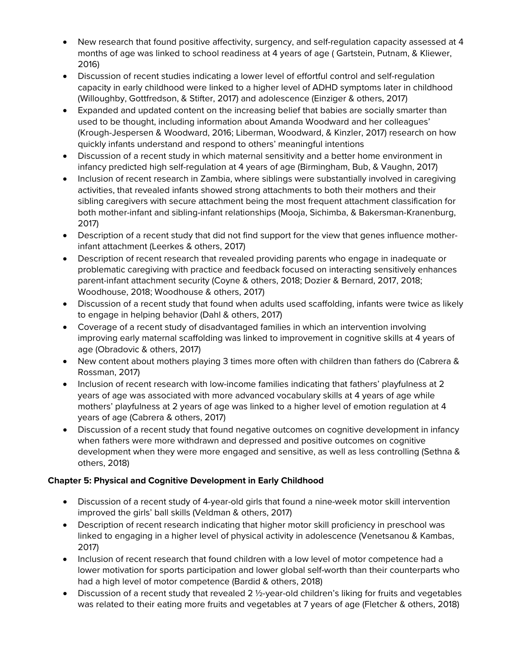- New research that found positive affectivity, surgency, and self-regulation capacity assessed at 4 months of age was linked to school readiness at 4 years of age ( Gartstein, Putnam, & Kliewer, 2016)
- Discussion of recent studies indicating a lower level of effortful control and self-regulation capacity in early childhood were linked to a higher level of ADHD symptoms later in childhood (Willoughby, Gottfredson, & Stifter, 2017) and adolescence (Einziger & others, 2017)
- Expanded and updated content on the increasing belief that babies are socially smarter than used to be thought, including information about Amanda Woodward and her colleagues' (Krough-Jespersen & Woodward, 2016; Liberman, Woodward, & Kinzler, 2017) research on how quickly infants understand and respond to others' meaningful intentions
- Discussion of a recent study in which maternal sensitivity and a better home environment in infancy predicted high self-regulation at 4 years of age (Birmingham, Bub, & Vaughn, 2017)
- Inclusion of recent research in Zambia, where siblings were substantially involved in caregiving activities, that revealed infants showed strong attachments to both their mothers and their sibling caregivers with secure attachment being the most frequent attachment classification for both mother-infant and sibling-infant relationships (Mooja, Sichimba, & Bakersman-Kranenburg, 2017)
- Description of a recent study that did not find support for the view that genes influence motherinfant attachment (Leerkes & others, 2017)
- Description of recent research that revealed providing parents who engage in inadequate or problematic caregiving with practice and feedback focused on interacting sensitively enhances parent-infant attachment security (Coyne & others, 2018; Dozier & Bernard, 2017, 2018; Woodhouse, 2018; Woodhouse & others, 2017)
- Discussion of a recent study that found when adults used scaffolding, infants were twice as likely to engage in helping behavior (Dahl & others, 2017)
- Coverage of a recent study of disadvantaged families in which an intervention involving improving early maternal scaffolding was linked to improvement in cognitive skills at 4 years of age (Obradovic & others, 2017)
- New content about mothers playing 3 times more often with children than fathers do (Cabrera & Rossman, 2017)
- Inclusion of recent research with low-income families indicating that fathers' playfulness at 2 years of age was associated with more advanced vocabulary skills at 4 years of age while mothers' playfulness at 2 years of age was linked to a higher level of emotion regulation at 4 years of age (Cabrera & others, 2017)
- Discussion of a recent study that found negative outcomes on cognitive development in infancy when fathers were more withdrawn and depressed and positive outcomes on cognitive development when they were more engaged and sensitive, as well as less controlling (Sethna & others, 2018)

# **Chapter 5: Physical and Cognitive Development in Early Childhood**

- Discussion of a recent study of 4-year-old girls that found a nine-week motor skill intervention improved the girls' ball skills (Veldman & others, 2017)
- Description of recent research indicating that higher motor skill proficiency in preschool was linked to engaging in a higher level of physical activity in adolescence (Venetsanou & Kambas, 2017)
- Inclusion of recent research that found children with a low level of motor competence had a lower motivation for sports participation and lower global self-worth than their counterparts who had a high level of motor competence (Bardid & others, 2018)
- Discussion of a recent study that revealed 2 1/2-year-old children's liking for fruits and vegetables was related to their eating more fruits and vegetables at 7 years of age (Fletcher & others, 2018)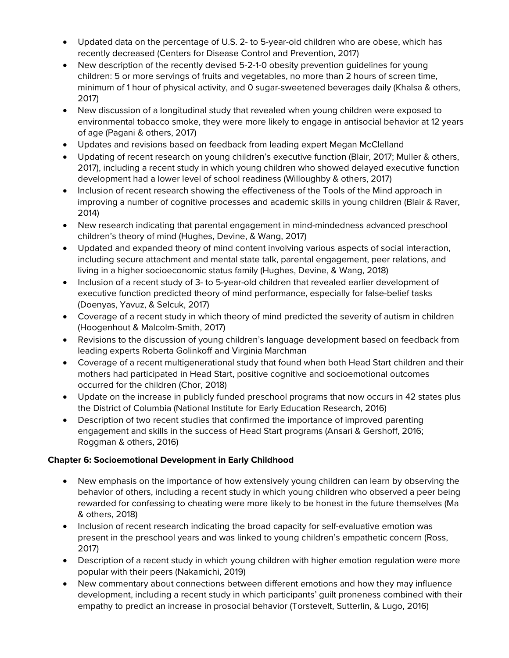- Updated data on the percentage of U.S. 2- to 5-year-old children who are obese, which has recently decreased (Centers for Disease Control and Prevention, 2017)
- New description of the recently devised 5-2-1-0 obesity prevention quidelines for young children: 5 or more servings of fruits and vegetables, no more than 2 hours of screen time, minimum of 1 hour of physical activity, and 0 sugar-sweetened beverages daily (Khalsa & others, 2017)
- New discussion of a longitudinal study that revealed when young children were exposed to environmental tobacco smoke, they were more likely to engage in antisocial behavior at 12 years of age (Pagani & others, 2017)
- Updates and revisions based on feedback from leading expert Megan McClelland
- Updating of recent research on young children's executive function (Blair, 2017; Muller & others, 2017), including a recent study in which young children who showed delayed executive function development had a lower level of school readiness (Willoughby & others, 2017)
- Inclusion of recent research showing the effectiveness of the Tools of the Mind approach in improving a number of cognitive processes and academic skills in young children (Blair & Raver, 2014)
- New research indicating that parental engagement in mind-mindedness advanced preschool children's theory of mind (Hughes, Devine, & Wang, 2017)
- Updated and expanded theory of mind content involving various aspects of social interaction, including secure attachment and mental state talk, parental engagement, peer relations, and living in a higher socioeconomic status family (Hughes, Devine, & Wang, 2018)
- Inclusion of a recent study of 3- to 5-year-old children that revealed earlier development of executive function predicted theory of mind performance, especially for false-belief tasks (Doenyas, Yavuz, & Selcuk, 2017)
- Coverage of a recent study in which theory of mind predicted the severity of autism in children (Hoogenhout & Malcolm-Smith, 2017)
- Revisions to the discussion of young children's language development based on feedback from leading experts Roberta Golinkoff and Virginia Marchman
- Coverage of a recent multigenerational study that found when both Head Start children and their mothers had participated in Head Start, positive cognitive and socioemotional outcomes occurred for the children (Chor, 2018)
- Update on the increase in publicly funded preschool programs that now occurs in 42 states plus the District of Columbia (National Institute for Early Education Research, 2016)
- Description of two recent studies that confirmed the importance of improved parenting engagement and skills in the success of Head Start programs (Ansari & Gershoff, 2016; Roggman & others, 2016)

# **Chapter 6: Socioemotional Development in Early Childhood**

- New emphasis on the importance of how extensively young children can learn by observing the behavior of others, including a recent study in which young children who observed a peer being rewarded for confessing to cheating were more likely to be honest in the future themselves (Ma & others, 2018)
- Inclusion of recent research indicating the broad capacity for self-evaluative emotion was present in the preschool years and was linked to young children's empathetic concern (Ross, 2017)
- Description of a recent study in which young children with higher emotion regulation were more popular with their peers (Nakamichi, 2019)
- New commentary about connections between different emotions and how they may influence development, including a recent study in which participants' guilt proneness combined with their empathy to predict an increase in prosocial behavior (Torstevelt, Sutterlin, & Lugo, 2016)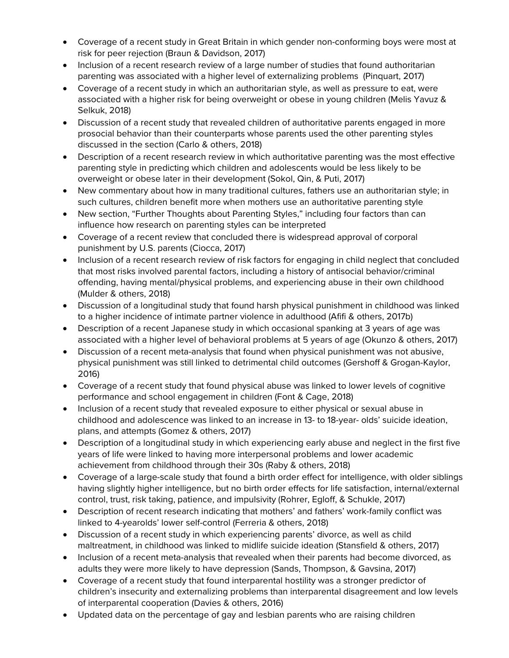- Coverage of a recent study in Great Britain in which gender non-conforming boys were most at risk for peer rejection (Braun & Davidson, 2017)
- Inclusion of a recent research review of a large number of studies that found authoritarian parenting was associated with a higher level of externalizing problems (Pinquart, 2017)
- Coverage of a recent study in which an authoritarian style, as well as pressure to eat, were associated with a higher risk for being overweight or obese in young children (Melis Yavuz & Selkuk, 2018)
- Discussion of a recent study that revealed children of authoritative parents engaged in more prosocial behavior than their counterparts whose parents used the other parenting styles discussed in the section (Carlo & others, 2018)
- Description of a recent research review in which authoritative parenting was the most effective parenting style in predicting which children and adolescents would be less likely to be overweight or obese later in their development (Sokol, Qin, & Puti, 2017)
- New commentary about how in many traditional cultures, fathers use an authoritarian style; in such cultures, children benefit more when mothers use an authoritative parenting style
- New section, "Further Thoughts about Parenting Styles," including four factors than can influence how research on parenting styles can be interpreted
- Coverage of a recent review that concluded there is widespread approval of corporal punishment by U.S. parents (Ciocca, 2017)
- Inclusion of a recent research review of risk factors for engaging in child neglect that concluded that most risks involved parental factors, including a history of antisocial behavior/criminal offending, having mental/physical problems, and experiencing abuse in their own childhood (Mulder & others, 2018)
- Discussion of a longitudinal study that found harsh physical punishment in childhood was linked to a higher incidence of intimate partner violence in adulthood (Afifi & others, 2017b)
- Description of a recent Japanese study in which occasional spanking at 3 years of age was associated with a higher level of behavioral problems at 5 years of age (Okunzo & others, 2017)
- Discussion of a recent meta-analysis that found when physical punishment was not abusive, physical punishment was still linked to detrimental child outcomes (Gershoff & Grogan-Kaylor, 2016)
- Coverage of a recent study that found physical abuse was linked to lower levels of cognitive performance and school engagement in children (Font & Cage, 2018)
- Inclusion of a recent study that revealed exposure to either physical or sexual abuse in childhood and adolescence was linked to an increase in 13- to 18-year- olds' suicide ideation, plans, and attempts (Gomez & others, 2017)
- Description of a longitudinal study in which experiencing early abuse and neglect in the first five years of life were linked to having more interpersonal problems and lower academic achievement from childhood through their 30s (Raby & others, 2018)
- Coverage of a large-scale study that found a birth order effect for intelligence, with older siblings having slightly higher intelligence, but no birth order effects for life satisfaction, internal/external control, trust, risk taking, patience, and impulsivity (Rohrer, Egloff, & Schukle, 2017)
- Description of recent research indicating that mothers' and fathers' work-family conflict was linked to 4-yearolds' lower self-control (Ferreria & others, 2018)
- Discussion of a recent study in which experiencing parents' divorce, as well as child maltreatment, in childhood was linked to midlife suicide ideation (Stansfield & others, 2017)
- Inclusion of a recent meta-analysis that revealed when their parents had become divorced, as adults they were more likely to have depression (Sands, Thompson, & Gavsina, 2017)
- Coverage of a recent study that found interparental hostility was a stronger predictor of children's insecurity and externalizing problems than interparental disagreement and low levels of interparental cooperation (Davies & others, 2016)
- Updated data on the percentage of gay and lesbian parents who are raising children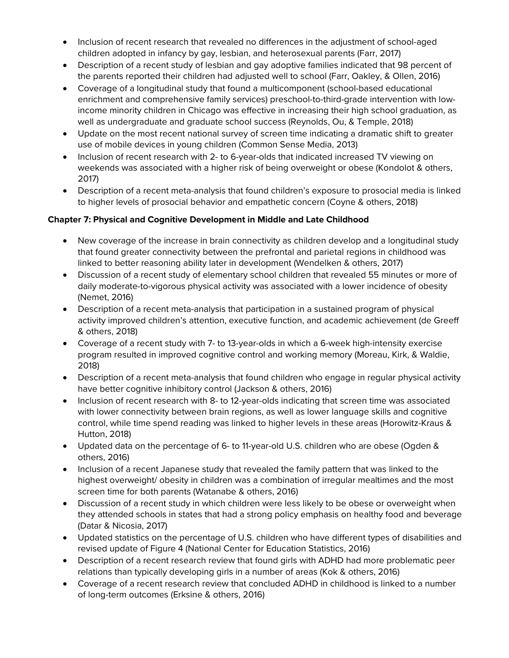- Inclusion of recent research that revealed no differences in the adjustment of school-aged children adopted in infancy by gay, lesbian, and heterosexual parents (Farr, 2017)
- Description of a recent study of lesbian and gay adoptive families indicated that 98 percent of the parents reported their children had adjusted well to school (Farr, Oakley, & Ollen, 2016)
- Coverage of a longitudinal study that found a multicomponent (school-based educational enrichment and comprehensive family services) preschool-to-third-grade intervention with lowincome minority children in Chicago was effective in increasing their high school graduation, as well as undergraduate and graduate school success (Reynolds, Ou, & Temple, 2018)
- Update on the most recent national survey of screen time indicating a dramatic shift to greater use of mobile devices in young children (Common Sense Media, 2013)
- Inclusion of recent research with 2- to 6-year-olds that indicated increased TV viewing on weekends was associated with a higher risk of being overweight or obese (Kondolot & others, 2017)
- Description of a recent meta-analysis that found children's exposure to prosocial media is linked to higher levels of prosocial behavior and empathetic concern (Coyne & others, 2018)

#### **Chapter 7: Physical and Cognitive Development in Middle and Late Childhood**

- New coverage of the increase in brain connectivity as children develop and a longitudinal study that found greater connectivity between the prefrontal and parietal regions in childhood was linked to better reasoning ability later in development (Wendelken & others, 2017)
- Discussion of a recent study of elementary school children that revealed 55 minutes or more of daily moderate-to-vigorous physical activity was associated with a lower incidence of obesity (Nemet, 2016)
- Description of a recent meta-analysis that participation in a sustained program of physical activity improved children's attention, executive function, and academic achievement (de Greeff & others, 2018)
- Coverage of a recent study with 7- to 13-year-olds in which a 6-week high-intensity exercise program resulted in improved cognitive control and working memory (Moreau, Kirk, & Waldie, 2018)
- Description of a recent meta-analysis that found children who engage in regular physical activity have better cognitive inhibitory control (Jackson & others, 2016)
- Inclusion of recent research with 8- to 12-year-olds indicating that screen time was associated with lower connectivity between brain regions, as well as lower language skills and cognitive control, while time spend reading was linked to higher levels in these areas (Horowitz-Kraus & Hutton, 2018)
- Updated data on the percentage of 6- to 11-year-old U.S. children who are obese (Ogden & others, 2016)
- Inclusion of a recent Japanese study that revealed the family pattern that was linked to the highest overweight/ obesity in children was a combination of irregular mealtimes and the most screen time for both parents (Watanabe & others, 2016)
- Discussion of a recent study in which children were less likely to be obese or overweight when they attended schools in states that had a strong policy emphasis on healthy food and beverage (Datar & Nicosia, 2017)
- Updated statistics on the percentage of U.S. children who have different types of disabilities and revised update of Figure 4 (National Center for Education Statistics, 2016)
- Description of a recent research review that found girls with ADHD had more problematic peer relations than typically developing girls in a number of areas (Kok & others, 2016)
- Coverage of a recent research review that concluded ADHD in childhood is linked to a number of long-term outcomes (Erksine & others, 2016)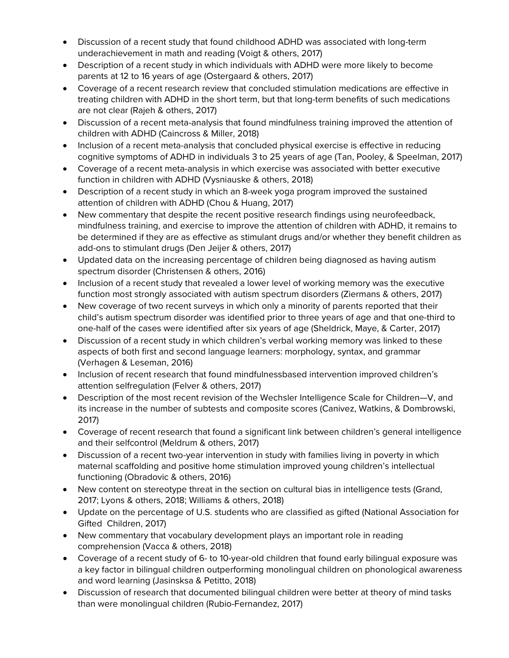- Discussion of a recent study that found childhood ADHD was associated with long-term underachievement in math and reading (Voigt & others, 2017)
- Description of a recent study in which individuals with ADHD were more likely to become parents at 12 to 16 years of age (Ostergaard & others, 2017)
- Coverage of a recent research review that concluded stimulation medications are effective in treating children with ADHD in the short term, but that long-term benefits of such medications are not clear (Rajeh & others, 2017)
- Discussion of a recent meta-analysis that found mindfulness training improved the attention of children with ADHD (Caincross & Miller, 2018)
- Inclusion of a recent meta-analysis that concluded physical exercise is effective in reducing cognitive symptoms of ADHD in individuals 3 to 25 years of age (Tan, Pooley, & Speelman, 2017)
- Coverage of a recent meta-analysis in which exercise was associated with better executive function in children with ADHD (Vysniauske & others, 2018)
- Description of a recent study in which an 8-week yoga program improved the sustained attention of children with ADHD (Chou & Huang, 2017)
- New commentary that despite the recent positive research findings using neurofeedback, mindfulness training, and exercise to improve the attention of children with ADHD, it remains to be determined if they are as effective as stimulant drugs and/or whether they benefit children as add-ons to stimulant drugs (Den Jeijer & others, 2017)
- Updated data on the increasing percentage of children being diagnosed as having autism spectrum disorder (Christensen & others, 2016)
- Inclusion of a recent study that revealed a lower level of working memory was the executive function most strongly associated with autism spectrum disorders (Ziermans & others, 2017)
- New coverage of two recent surveys in which only a minority of parents reported that their child's autism spectrum disorder was identified prior to three years of age and that one-third to one-half of the cases were identified after six years of age (Sheldrick, Maye, & Carter, 2017)
- Discussion of a recent study in which children's verbal working memory was linked to these aspects of both first and second language learners: morphology, syntax, and grammar (Verhagen & Leseman, 2016)
- Inclusion of recent research that found mindfulnessbased intervention improved children's attention selfregulation (Felver & others, 2017)
- Description of the most recent revision of the Wechsler Intelligence Scale for Children—V, and its increase in the number of subtests and composite scores (Canivez, Watkins, & Dombrowski, 2017)
- Coverage of recent research that found a significant link between children's general intelligence and their selfcontrol (Meldrum & others, 2017)
- Discussion of a recent two-year intervention in study with families living in poverty in which maternal scaffolding and positive home stimulation improved young children's intellectual functioning (Obradovic & others, 2016)
- New content on stereotype threat in the section on cultural bias in intelligence tests (Grand, 2017; Lyons & others, 2018; Williams & others, 2018)
- Update on the percentage of U.S. students who are classified as gifted (National Association for Gifted Children, 2017)
- New commentary that vocabulary development plays an important role in reading comprehension (Vacca & others, 2018)
- Coverage of a recent study of 6- to 10-year-old children that found early bilingual exposure was a key factor in bilingual children outperforming monolingual children on phonological awareness and word learning (Jasinsksa & Petitto, 2018)
- Discussion of research that documented bilingual children were better at theory of mind tasks than were monolingual children (Rubio-Fernandez, 2017)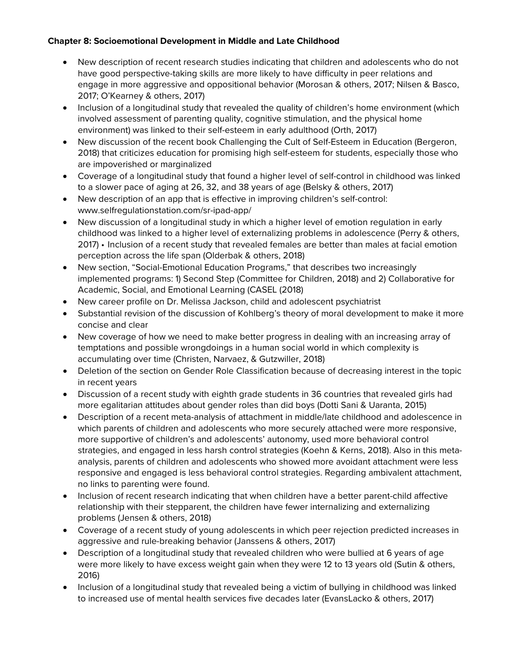#### **Chapter 8: Socioemotional Development in Middle and Late Childhood**

- New description of recent research studies indicating that children and adolescents who do not have good perspective-taking skills are more likely to have difficulty in peer relations and engage in more aggressive and oppositional behavior (Morosan & others, 2017; Nilsen & Basco, 2017; O'Kearney & others, 2017)
- Inclusion of a longitudinal study that revealed the quality of children's home environment (which involved assessment of parenting quality, cognitive stimulation, and the physical home environment) was linked to their self-esteem in early adulthood (Orth, 2017)
- New discussion of the recent book Challenging the Cult of Self-Esteem in Education (Bergeron, 2018) that criticizes education for promising high self-esteem for students, especially those who are impoverished or marginalized
- Coverage of a longitudinal study that found a higher level of self-control in childhood was linked to a slower pace of aging at 26, 32, and 38 years of age (Belsky & others, 2017)
- New description of an app that is effective in improving children's self-control: www.selfregulationstation.com/sr-ipad-app/
- New discussion of a longitudinal study in which a higher level of emotion regulation in early childhood was linked to a higher level of externalizing problems in adolescence (Perry & others, 2017) • Inclusion of a recent study that revealed females are better than males at facial emotion perception across the life span (Olderbak & others, 2018)
- New section, "Social-Emotional Education Programs," that describes two increasingly implemented programs: 1) Second Step (Committee for Children, 2018) and 2) Collaborative for Academic, Social, and Emotional Learning (CASEL (2018)
- New career profile on Dr. Melissa Jackson, child and adolescent psychiatrist
- Substantial revision of the discussion of Kohlberg's theory of moral development to make it more concise and clear
- New coverage of how we need to make better progress in dealing with an increasing array of temptations and possible wrongdoings in a human social world in which complexity is accumulating over time (Christen, Narvaez, & Gutzwiller, 2018)
- Deletion of the section on Gender Role Classification because of decreasing interest in the topic in recent years
- Discussion of a recent study with eighth grade students in 36 countries that revealed girls had more egalitarian attitudes about gender roles than did boys (Dotti Sani & Uaranta, 2015)
- Description of a recent meta-analysis of attachment in middle/late childhood and adolescence in which parents of children and adolescents who more securely attached were more responsive, more supportive of children's and adolescents' autonomy, used more behavioral control strategies, and engaged in less harsh control strategies (Koehn & Kerns, 2018). Also in this metaanalysis, parents of children and adolescents who showed more avoidant attachment were less responsive and engaged is less behavioral control strategies. Regarding ambivalent attachment, no links to parenting were found.
- Inclusion of recent research indicating that when children have a better parent-child affective relationship with their stepparent, the children have fewer internalizing and externalizing problems (Jensen & others, 2018)
- Coverage of a recent study of young adolescents in which peer rejection predicted increases in aggressive and rule-breaking behavior (Janssens & others, 2017)
- Description of a longitudinal study that revealed children who were bullied at 6 years of age were more likely to have excess weight gain when they were 12 to 13 years old (Sutin & others, 2016)
- Inclusion of a longitudinal study that revealed being a victim of bullying in childhood was linked to increased use of mental health services five decades later (EvansLacko & others, 2017)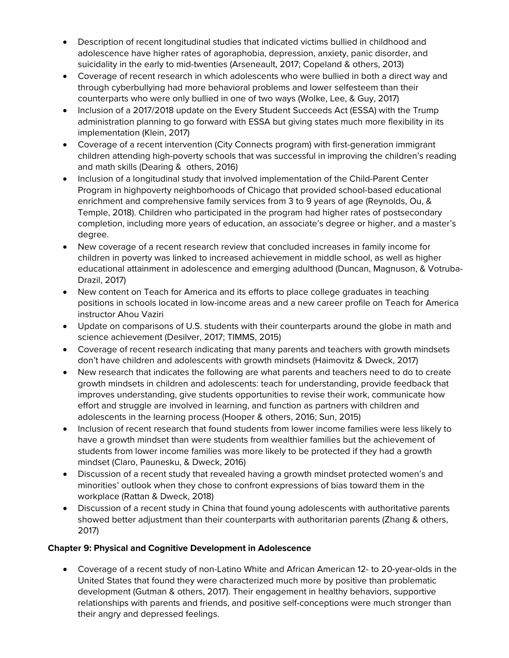- Description of recent longitudinal studies that indicated victims bullied in childhood and adolescence have higher rates of agoraphobia, depression, anxiety, panic disorder, and suicidality in the early to mid-twenties (Arseneault, 2017; Copeland & others, 2013)
- Coverage of recent research in which adolescents who were bullied in both a direct way and through cyberbullying had more behavioral problems and lower selfesteem than their counterparts who were only bullied in one of two ways (Wolke, Lee, & Guy, 2017)
- Inclusion of a 2017/2018 update on the Every Student Succeeds Act (ESSA) with the Trump administration planning to go forward with ESSA but giving states much more flexibility in its implementation (Klein, 2017)
- Coverage of a recent intervention (City Connects program) with first-generation immigrant children attending high-poverty schools that was successful in improving the children's reading and math skills (Dearing & others, 2016)
- Inclusion of a longitudinal study that involved implementation of the Child-Parent Center Program in highpoverty neighborhoods of Chicago that provided school-based educational enrichment and comprehensive family services from 3 to 9 years of age (Reynolds, Ou, & Temple, 2018). Children who participated in the program had higher rates of postsecondary completion, including more years of education, an associate's degree or higher, and a master's degree.
- New coverage of a recent research review that concluded increases in family income for children in poverty was linked to increased achievement in middle school, as well as higher educational attainment in adolescence and emerging adulthood (Duncan, Magnuson, & Votruba-Drazil, 2017)
- New content on Teach for America and its efforts to place college graduates in teaching positions in schools located in low-income areas and a new career profile on Teach for America instructor Ahou Vaziri
- Update on comparisons of U.S. students with their counterparts around the globe in math and science achievement (Desilver, 2017; TIMMS, 2015)
- Coverage of recent research indicating that many parents and teachers with growth mindsets don't have children and adolescents with growth mindsets (Haimovitz & Dweck, 2017)
- New research that indicates the following are what parents and teachers need to do to create growth mindsets in children and adolescents: teach for understanding, provide feedback that improves understanding, give students opportunities to revise their work, communicate how effort and struggle are involved in learning, and function as partners with children and adolescents in the learning process (Hooper & others, 2016; Sun, 2015)
- Inclusion of recent research that found students from lower income families were less likely to have a growth mindset than were students from wealthier families but the achievement of students from lower income families was more likely to be protected if they had a growth mindset (Claro, Paunesku, & Dweck, 2016)
- Discussion of a recent study that revealed having a growth mindset protected women's and minorities' outlook when they chose to confront expressions of bias toward them in the workplace (Rattan & Dweck, 2018)
- Discussion of a recent study in China that found young adolescents with authoritative parents showed better adjustment than their counterparts with authoritarian parents (Zhang & others, 2017)

# **Chapter 9: Physical and Cognitive Development in Adolescence**

• Coverage of a recent study of non-Latino White and African American 12- to 20-year-olds in the United States that found they were characterized much more by positive than problematic development (Gutman & others, 2017). Their engagement in healthy behaviors, supportive relationships with parents and friends, and positive self-conceptions were much stronger than their angry and depressed feelings.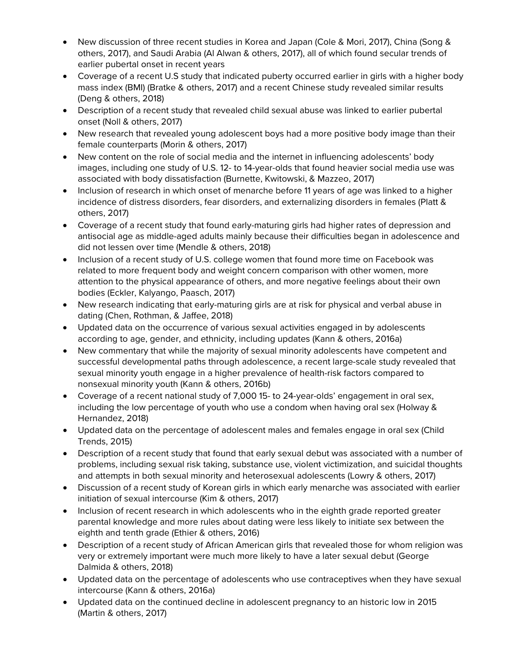- New discussion of three recent studies in Korea and Japan (Cole & Mori, 2017), China (Song & others, 2017), and Saudi Arabia (Al Alwan & others, 2017), all of which found secular trends of earlier pubertal onset in recent years
- Coverage of a recent U.S study that indicated puberty occurred earlier in girls with a higher body mass index (BMI) (Bratke & others, 2017) and a recent Chinese study revealed similar results (Deng & others, 2018)
- Description of a recent study that revealed child sexual abuse was linked to earlier pubertal onset (Noll & others, 2017)
- New research that revealed young adolescent boys had a more positive body image than their female counterparts (Morin & others, 2017)
- New content on the role of social media and the internet in influencing adolescents' body images, including one study of U.S. 12- to 14-year-olds that found heavier social media use was associated with body dissatisfaction (Burnette, Kwitowski, & Mazzeo, 2017)
- Inclusion of research in which onset of menarche before 11 years of age was linked to a higher incidence of distress disorders, fear disorders, and externalizing disorders in females (Platt & others, 2017)
- Coverage of a recent study that found early-maturing girls had higher rates of depression and antisocial age as middle-aged adults mainly because their difficulties began in adolescence and did not lessen over time (Mendle & others, 2018)
- Inclusion of a recent study of U.S. college women that found more time on Facebook was related to more frequent body and weight concern comparison with other women, more attention to the physical appearance of others, and more negative feelings about their own bodies (Eckler, Kalyango, Paasch, 2017)
- New research indicating that early-maturing girls are at risk for physical and verbal abuse in dating (Chen, Rothman, & Jaffee, 2018)
- Updated data on the occurrence of various sexual activities engaged in by adolescents according to age, gender, and ethnicity, including updates (Kann & others, 2016a)
- New commentary that while the majority of sexual minority adolescents have competent and successful developmental paths through adolescence, a recent large-scale study revealed that sexual minority youth engage in a higher prevalence of health-risk factors compared to nonsexual minority youth (Kann & others, 2016b)
- Coverage of a recent national study of 7,000 15- to 24-year-olds' engagement in oral sex, including the low percentage of youth who use a condom when having oral sex (Holway & Hernandez, 2018)
- Updated data on the percentage of adolescent males and females engage in oral sex (Child Trends, 2015)
- Description of a recent study that found that early sexual debut was associated with a number of problems, including sexual risk taking, substance use, violent victimization, and suicidal thoughts and attempts in both sexual minority and heterosexual adolescents (Lowry & others, 2017)
- Discussion of a recent study of Korean girls in which early menarche was associated with earlier initiation of sexual intercourse (Kim & others, 2017)
- Inclusion of recent research in which adolescents who in the eighth grade reported greater parental knowledge and more rules about dating were less likely to initiate sex between the eighth and tenth grade (Ethier & others, 2016)
- Description of a recent study of African American girls that revealed those for whom religion was very or extremely important were much more likely to have a later sexual debut (George Dalmida & others, 2018)
- Updated data on the percentage of adolescents who use contraceptives when they have sexual intercourse (Kann & others, 2016a)
- Updated data on the continued decline in adolescent pregnancy to an historic low in 2015 (Martin & others, 2017)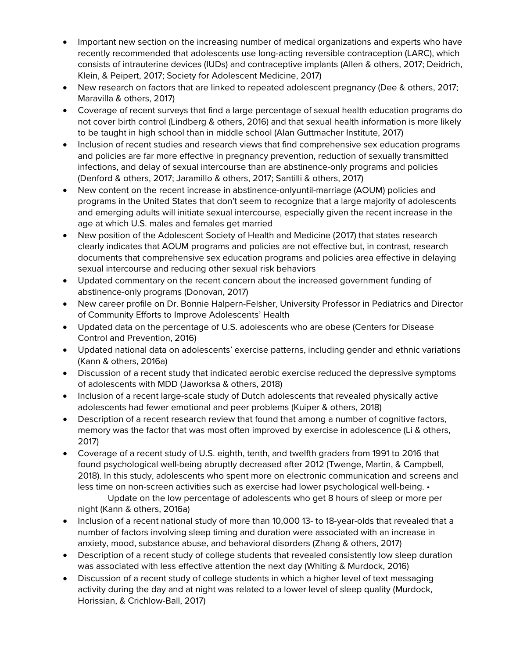- Important new section on the increasing number of medical organizations and experts who have recently recommended that adolescents use long-acting reversible contraception (LARC), which consists of intrauterine devices (IUDs) and contraceptive implants (Allen & others, 2017; Deidrich, Klein, & Peipert, 2017; Society for Adolescent Medicine, 2017)
- New research on factors that are linked to repeated adolescent pregnancy (Dee & others, 2017; Maravilla & others, 2017)
- Coverage of recent surveys that find a large percentage of sexual health education programs do not cover birth control (Lindberg & others, 2016) and that sexual health information is more likely to be taught in high school than in middle school (Alan Guttmacher Institute, 2017)
- Inclusion of recent studies and research views that find comprehensive sex education programs and policies are far more effective in pregnancy prevention, reduction of sexually transmitted infections, and delay of sexual intercourse than are abstinence-only programs and policies (Denford & others, 2017; Jaramillo & others, 2017; Santilli & others, 2017)
- New content on the recent increase in abstinence-onlyuntil-marriage (AOUM) policies and programs in the United States that don't seem to recognize that a large majority of adolescents and emerging adults will initiate sexual intercourse, especially given the recent increase in the age at which U.S. males and females get married
- New position of the Adolescent Society of Health and Medicine (2017) that states research clearly indicates that AOUM programs and policies are not effective but, in contrast, research documents that comprehensive sex education programs and policies area effective in delaying sexual intercourse and reducing other sexual risk behaviors
- Updated commentary on the recent concern about the increased government funding of abstinence-only programs (Donovan, 2017)
- New career profile on Dr. Bonnie Halpern-Felsher, University Professor in Pediatrics and Director of Community Efforts to Improve Adolescents' Health
- Updated data on the percentage of U.S. adolescents who are obese (Centers for Disease Control and Prevention, 2016)
- Updated national data on adolescents' exercise patterns, including gender and ethnic variations (Kann & others, 2016a)
- Discussion of a recent study that indicated aerobic exercise reduced the depressive symptoms of adolescents with MDD (Jaworksa & others, 2018)
- Inclusion of a recent large-scale study of Dutch adolescents that revealed physically active adolescents had fewer emotional and peer problems (Kuiper & others, 2018)
- Description of a recent research review that found that among a number of cognitive factors, memory was the factor that was most often improved by exercise in adolescence (Li & others, 2017)
- Coverage of a recent study of U.S. eighth, tenth, and twelfth graders from 1991 to 2016 that found psychological well-being abruptly decreased after 2012 (Twenge, Martin, & Campbell, 2018). In this study, adolescents who spent more on electronic communication and screens and less time on non-screen activities such as exercise had lower psychological well-being. •

Update on the low percentage of adolescents who get 8 hours of sleep or more per night (Kann & others, 2016a)

- Inclusion of a recent national study of more than 10,000 13- to 18-year-olds that revealed that a number of factors involving sleep timing and duration were associated with an increase in anxiety, mood, substance abuse, and behavioral disorders (Zhang & others, 2017)
- Description of a recent study of college students that revealed consistently low sleep duration was associated with less effective attention the next day (Whiting & Murdock, 2016)
- Discussion of a recent study of college students in which a higher level of text messaging activity during the day and at night was related to a lower level of sleep quality (Murdock, Horissian, & Crichlow-Ball, 2017)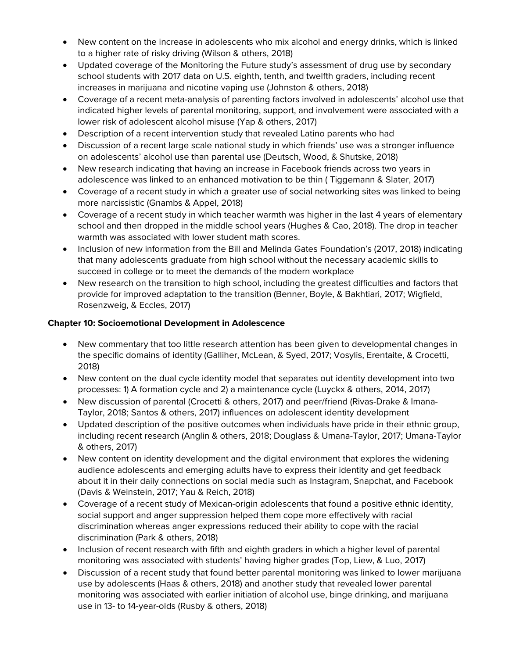- New content on the increase in adolescents who mix alcohol and energy drinks, which is linked to a higher rate of risky driving (Wilson & others, 2018)
- Updated coverage of the Monitoring the Future study's assessment of drug use by secondary school students with 2017 data on U.S. eighth, tenth, and twelfth graders, including recent increases in marijuana and nicotine vaping use (Johnston & others, 2018)
- Coverage of a recent meta-analysis of parenting factors involved in adolescents' alcohol use that indicated higher levels of parental monitoring, support, and involvement were associated with a lower risk of adolescent alcohol misuse (Yap & others, 2017)
- Description of a recent intervention study that revealed Latino parents who had
- Discussion of a recent large scale national study in which friends' use was a stronger influence on adolescents' alcohol use than parental use (Deutsch, Wood, & Shutske, 2018)
- New research indicating that having an increase in Facebook friends across two years in adolescence was linked to an enhanced motivation to be thin ( Tiggemann & Slater, 2017)
- Coverage of a recent study in which a greater use of social networking sites was linked to being more narcissistic (Gnambs & Appel, 2018)
- Coverage of a recent study in which teacher warmth was higher in the last 4 years of elementary school and then dropped in the middle school years (Hughes & Cao, 2018). The drop in teacher warmth was associated with lower student math scores.
- Inclusion of new information from the Bill and Melinda Gates Foundation's (2017, 2018) indicating that many adolescents graduate from high school without the necessary academic skills to succeed in college or to meet the demands of the modern workplace
- New research on the transition to high school, including the greatest difficulties and factors that provide for improved adaptation to the transition (Benner, Boyle, & Bakhtiari, 2017; Wigfield, Rosenzweig, & Eccles, 2017)

#### **Chapter 10: Socioemotional Development in Adolescence**

- New commentary that too little research attention has been given to developmental changes in the specific domains of identity (Galliher, McLean, & Syed, 2017; Vosylis, Erentaite, & Crocetti, 2018)
- New content on the dual cycle identity model that separates out identity development into two processes: 1) A formation cycle and 2) a maintenance cycle (Luyckx & others, 2014, 2017)
- New discussion of parental (Crocetti & others, 2017) and peer/friend (Rivas-Drake & Imana-Taylor, 2018; Santos & others, 2017) influences on adolescent identity development
- Updated description of the positive outcomes when individuals have pride in their ethnic group, including recent research (Anglin & others, 2018; Douglass & Umana-Taylor, 2017; Umana-Taylor & others, 2017)
- New content on identity development and the digital environment that explores the widening audience adolescents and emerging adults have to express their identity and get feedback about it in their daily connections on social media such as Instagram, Snapchat, and Facebook (Davis & Weinstein, 2017; Yau & Reich, 2018)
- Coverage of a recent study of Mexican-origin adolescents that found a positive ethnic identity, social support and anger suppression helped them cope more effectively with racial discrimination whereas anger expressions reduced their ability to cope with the racial discrimination (Park & others, 2018)
- Inclusion of recent research with fifth and eighth graders in which a higher level of parental monitoring was associated with students' having higher grades (Top, Liew, & Luo, 2017)
- Discussion of a recent study that found better parental monitoring was linked to lower marijuana use by adolescents (Haas & others, 2018) and another study that revealed lower parental monitoring was associated with earlier initiation of alcohol use, binge drinking, and marijuana use in 13- to 14-year-olds (Rusby & others, 2018)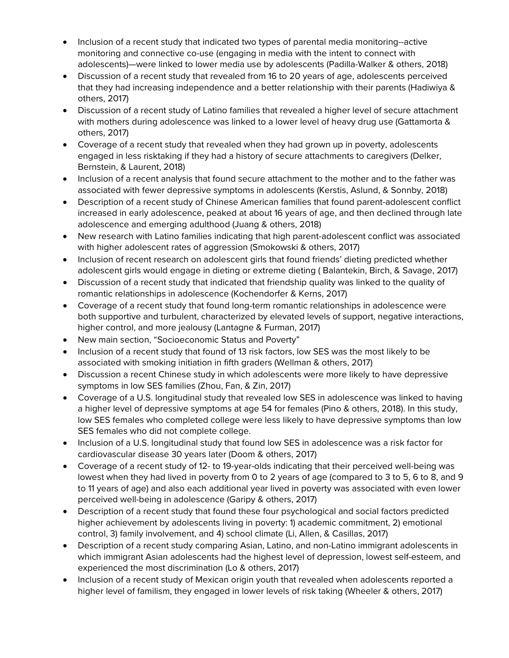- Inclusion of a recent study that indicated two types of parental media monitoring--active monitoring and connective co-use (engaging in media with the intent to connect with adolescents)—were linked to lower media use by adolescents (Padilla-Walker & others, 2018)
- Discussion of a recent study that revealed from 16 to 20 years of age, adolescents perceived that they had increasing independence and a better relationship with their parents (Hadiwiya & others, 2017)
- Discussion of a recent study of Latino families that revealed a higher level of secure attachment with mothers during adolescence was linked to a lower level of heavy drug use (Gattamorta & others, 2017)
- Coverage of a recent study that revealed when they had grown up in poverty, adolescents engaged in less risktaking if they had a history of secure attachments to caregivers (Delker, Bernstein, & Laurent, 2018)
- Inclusion of a recent analysis that found secure attachment to the mother and to the father was associated with fewer depressive symptoms in adolescents (Kerstis, Aslund, & Sonnby, 2018)
- Description of a recent study of Chinese American families that found parent-adolescent conflict increased in early adolescence, peaked at about 16 years of age, and then declined through late adolescence and emerging adulthood (Juang & others, 2018)
- New research with Latino families indicating that high parent-adolescent conflict was associated with higher adolescent rates of aggression (Smokowski & others, 2017)
- Inclusion of recent research on adolescent girls that found friends' dieting predicted whether adolescent girls would engage in dieting or extreme dieting ( Balantekin, Birch, & Savage, 2017)
- Discussion of a recent study that indicated that friendship quality was linked to the quality of romantic relationships in adolescence (Kochendorfer & Kerns, 2017)
- Coverage of a recent study that found long-term romantic relationships in adolescence were both supportive and turbulent, characterized by elevated levels of support, negative interactions, higher control, and more jealousy (Lantagne & Furman, 2017)
- New main section, "Socioeconomic Status and Poverty"
- Inclusion of a recent study that found of 13 risk factors, low SES was the most likely to be associated with smoking initiation in fifth graders (Wellman & others, 2017)
- Discussion a recent Chinese study in which adolescents were more likely to have depressive symptoms in low SES families (Zhou, Fan, & Zin, 2017)
- Coverage of a U.S. longitudinal study that revealed low SES in adolescence was linked to having a higher level of depressive symptoms at age 54 for females (Pino & others, 2018). In this study, low SES females who completed college were less likely to have depressive symptoms than low SES females who did not complete college.
- Inclusion of a U.S. longitudinal study that found low SES in adolescence was a risk factor for cardiovascular disease 30 years later (Doom & others, 2017)
- Coverage of a recent study of 12- to 19-year-olds indicating that their perceived well-being was lowest when they had lived in poverty from 0 to 2 years of age (compared to 3 to 5, 6 to 8, and 9 to 11 years of age) and also each additional year lived in poverty was associated with even lower perceived well-being in adolescence (Garipy & others, 2017)
- Description of a recent study that found these four psychological and social factors predicted higher achievement by adolescents living in poverty: 1) academic commitment, 2) emotional control, 3) family involvement, and 4) school climate (Li, Allen, & Casillas, 2017)
- Description of a recent study comparing Asian, Latino, and non-Latino immigrant adolescents in which immigrant Asian adolescents had the highest level of depression, lowest self-esteem, and experienced the most discrimination (Lo & others, 2017)
- Inclusion of a recent study of Mexican origin youth that revealed when adolescents reported a higher level of familism, they engaged in lower levels of risk taking (Wheeler & others, 2017)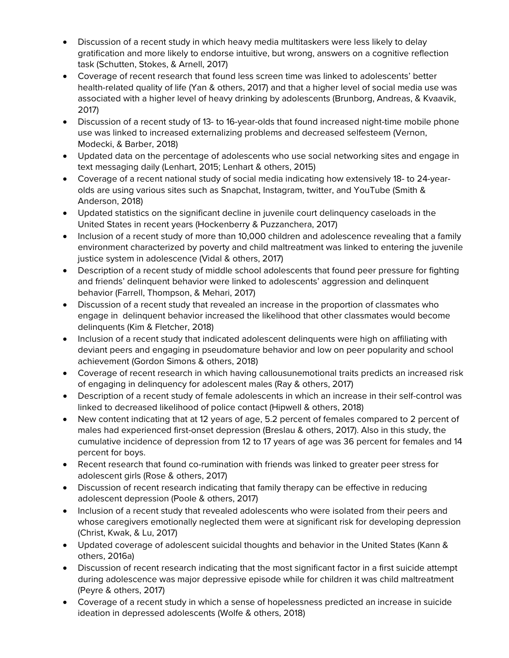- Discussion of a recent study in which heavy media multitaskers were less likely to delay gratification and more likely to endorse intuitive, but wrong, answers on a cognitive reflection task (Schutten, Stokes, & Arnell, 2017)
- Coverage of recent research that found less screen time was linked to adolescents' better health-related quality of life (Yan & others, 2017) and that a higher level of social media use was associated with a higher level of heavy drinking by adolescents (Brunborg, Andreas, & Kvaavik, 2017)
- Discussion of a recent study of 13- to 16-year-olds that found increased night-time mobile phone use was linked to increased externalizing problems and decreased selfesteem (Vernon, Modecki, & Barber, 2018)
- Updated data on the percentage of adolescents who use social networking sites and engage in text messaging daily (Lenhart, 2015; Lenhart & others, 2015)
- Coverage of a recent national study of social media indicating how extensively 18- to 24-yearolds are using various sites such as Snapchat, Instagram, twitter, and YouTube (Smith & Anderson, 2018)
- Updated statistics on the significant decline in juvenile court delinquency caseloads in the United States in recent years (Hockenberry & Puzzanchera, 2017)
- Inclusion of a recent study of more than 10,000 children and adolescence revealing that a family environment characterized by poverty and child maltreatment was linked to entering the juvenile justice system in adolescence (Vidal & others, 2017)
- Description of a recent study of middle school adolescents that found peer pressure for fighting and friends' delinquent behavior were linked to adolescents' aggression and delinquent behavior (Farrell, Thompson, & Mehari, 2017)
- Discussion of a recent study that revealed an increase in the proportion of classmates who engage in delinquent behavior increased the likelihood that other classmates would become delinquents (Kim & Fletcher, 2018)
- Inclusion of a recent study that indicated adolescent delinquents were high on affiliating with deviant peers and engaging in pseudomature behavior and low on peer popularity and school achievement (Gordon Simons & others, 2018)
- Coverage of recent research in which having callousunemotional traits predicts an increased risk of engaging in delinquency for adolescent males (Ray & others, 2017)
- Description of a recent study of female adolescents in which an increase in their self-control was linked to decreased likelihood of police contact (Hipwell & others, 2018)
- New content indicating that at 12 years of age, 5.2 percent of females compared to 2 percent of males had experienced first-onset depression (Breslau & others, 2017). Also in this study, the cumulative incidence of depression from 12 to 17 years of age was 36 percent for females and 14 percent for boys.
- Recent research that found co-rumination with friends was linked to greater peer stress for adolescent girls (Rose & others, 2017)
- Discussion of recent research indicating that family therapy can be effective in reducing adolescent depression (Poole & others, 2017)
- Inclusion of a recent study that revealed adolescents who were isolated from their peers and whose caregivers emotionally neglected them were at significant risk for developing depression (Christ, Kwak, & Lu, 2017)
- Updated coverage of adolescent suicidal thoughts and behavior in the United States (Kann & others, 2016a)
- Discussion of recent research indicating that the most significant factor in a first suicide attempt during adolescence was major depressive episode while for children it was child maltreatment (Peyre & others, 2017)
- Coverage of a recent study in which a sense of hopelessness predicted an increase in suicide ideation in depressed adolescents (Wolfe & others, 2018)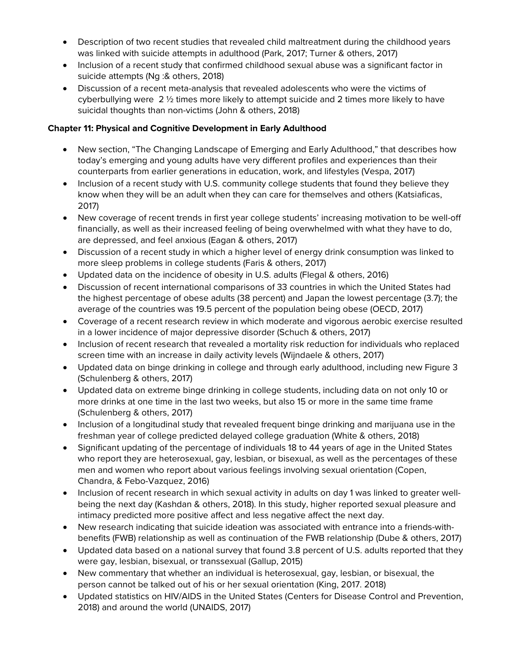- Description of two recent studies that revealed child maltreatment during the childhood years was linked with suicide attempts in adulthood (Park, 2017; Turner & others, 2017)
- Inclusion of a recent study that confirmed childhood sexual abuse was a significant factor in suicide attempts (Ng :& others, 2018)
- Discussion of a recent meta-analysis that revealed adolescents who were the victims of cyberbullying were  $2 \frac{1}{2}$  times more likely to attempt suicide and 2 times more likely to have suicidal thoughts than non-victims (John & others, 2018)

#### **Chapter 11: Physical and Cognitive Development in Early Adulthood**

- New section, "The Changing Landscape of Emerging and Early Adulthood," that describes how today's emerging and young adults have very different profiles and experiences than their counterparts from earlier generations in education, work, and lifestyles (Vespa, 2017)
- Inclusion of a recent study with U.S. community college students that found they believe they know when they will be an adult when they can care for themselves and others (Katsiaficas, 2017)
- New coverage of recent trends in first year college students' increasing motivation to be well-off financially, as well as their increased feeling of being overwhelmed with what they have to do, are depressed, and feel anxious (Eagan & others, 2017)
- Discussion of a recent study in which a higher level of energy drink consumption was linked to more sleep problems in college students (Faris & others, 2017)
- Updated data on the incidence of obesity in U.S. adults (Flegal & others, 2016)
- Discussion of recent international comparisons of 33 countries in which the United States had the highest percentage of obese adults (38 percent) and Japan the lowest percentage (3.7); the average of the countries was 19.5 percent of the population being obese (OECD, 2017)
- Coverage of a recent research review in which moderate and vigorous aerobic exercise resulted in a lower incidence of major depressive disorder (Schuch & others, 2017)
- Inclusion of recent research that revealed a mortality risk reduction for individuals who replaced screen time with an increase in daily activity levels (Wijndaele & others, 2017)
- Updated data on binge drinking in college and through early adulthood, including new Figure 3 (Schulenberg & others, 2017)
- Updated data on extreme binge drinking in college students, including data on not only 10 or more drinks at one time in the last two weeks, but also 15 or more in the same time frame (Schulenberg & others, 2017)
- Inclusion of a longitudinal study that revealed frequent binge drinking and marijuana use in the freshman year of college predicted delayed college graduation (White & others, 2018)
- Significant updating of the percentage of individuals 18 to 44 years of age in the United States who report they are heterosexual, gay, lesbian, or bisexual, as well as the percentages of these men and women who report about various feelings involving sexual orientation (Copen, Chandra, & Febo-Vazquez, 2016)
- Inclusion of recent research in which sexual activity in adults on day 1 was linked to greater wellbeing the next day (Kashdan & others, 2018). In this study, higher reported sexual pleasure and intimacy predicted more positive affect and less negative affect the next day.
- New research indicating that suicide ideation was associated with entrance into a friends-withbenefits (FWB) relationship as well as continuation of the FWB relationship (Dube & others, 2017)
- Updated data based on a national survey that found 3.8 percent of U.S. adults reported that they were gay, lesbian, bisexual, or transsexual (Gallup, 2015)
- New commentary that whether an individual is heterosexual, gay, lesbian, or bisexual, the person cannot be talked out of his or her sexual orientation (King, 2017. 2018)
- Updated statistics on HIV/AIDS in the United States (Centers for Disease Control and Prevention, 2018) and around the world (UNAIDS, 2017)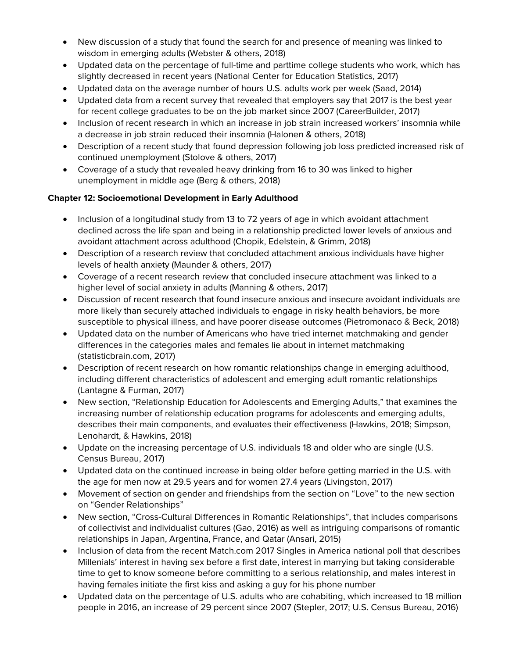- New discussion of a study that found the search for and presence of meaning was linked to wisdom in emerging adults (Webster & others, 2018)
- Updated data on the percentage of full-time and parttime college students who work, which has slightly decreased in recent years (National Center for Education Statistics, 2017)
- Updated data on the average number of hours U.S. adults work per week (Saad, 2014)
- Updated data from a recent survey that revealed that employers say that 2017 is the best year for recent college graduates to be on the job market since 2007 (CareerBuilder, 2017)
- Inclusion of recent research in which an increase in job strain increased workers' insomnia while a decrease in job strain reduced their insomnia (Halonen & others, 2018)
- Description of a recent study that found depression following job loss predicted increased risk of continued unemployment (Stolove & others, 2017)
- Coverage of a study that revealed heavy drinking from 16 to 30 was linked to higher unemployment in middle age (Berg & others, 2018)

#### **Chapter 12: Socioemotional Development in Early Adulthood**

- Inclusion of a longitudinal study from 13 to 72 years of age in which avoidant attachment declined across the life span and being in a relationship predicted lower levels of anxious and avoidant attachment across adulthood (Chopik, Edelstein, & Grimm, 2018)
- Description of a research review that concluded attachment anxious individuals have higher levels of health anxiety (Maunder & others, 2017)
- Coverage of a recent research review that concluded insecure attachment was linked to a higher level of social anxiety in adults (Manning & others, 2017)
- Discussion of recent research that found insecure anxious and insecure avoidant individuals are more likely than securely attached individuals to engage in risky health behaviors, be more susceptible to physical illness, and have poorer disease outcomes (Pietromonaco & Beck, 2018)
- Updated data on the number of Americans who have tried internet matchmaking and gender differences in the categories males and females lie about in internet matchmaking (statisticbrain.com, 2017)
- Description of recent research on how romantic relationships change in emerging adulthood, including different characteristics of adolescent and emerging adult romantic relationships (Lantagne & Furman, 2017)
- New section, "Relationship Education for Adolescents and Emerging Adults," that examines the increasing number of relationship education programs for adolescents and emerging adults, describes their main components, and evaluates their effectiveness (Hawkins, 2018; Simpson, Lenohardt, & Hawkins, 2018)
- Update on the increasing percentage of U.S. individuals 18 and older who are single (U.S. Census Bureau, 2017)
- Updated data on the continued increase in being older before getting married in the U.S. with the age for men now at 29.5 years and for women 27.4 years (Livingston, 2017)
- Movement of section on gender and friendships from the section on "Love" to the new section on "Gender Relationships"
- New section, "Cross-Cultural Differences in Romantic Relationships", that includes comparisons of collectivist and individualist cultures (Gao, 2016) as well as intriguing comparisons of romantic relationships in Japan, Argentina, France, and Qatar (Ansari, 2015)
- Inclusion of data from the recent Match.com 2017 Singles in America national poll that describes Millenials' interest in having sex before a first date, interest in marrying but taking considerable time to get to know someone before committing to a serious relationship, and males interest in having females initiate the first kiss and asking a guy for his phone number
- Updated data on the percentage of U.S. adults who are cohabiting, which increased to 18 million people in 2016, an increase of 29 percent since 2007 (Stepler, 2017; U.S. Census Bureau, 2016)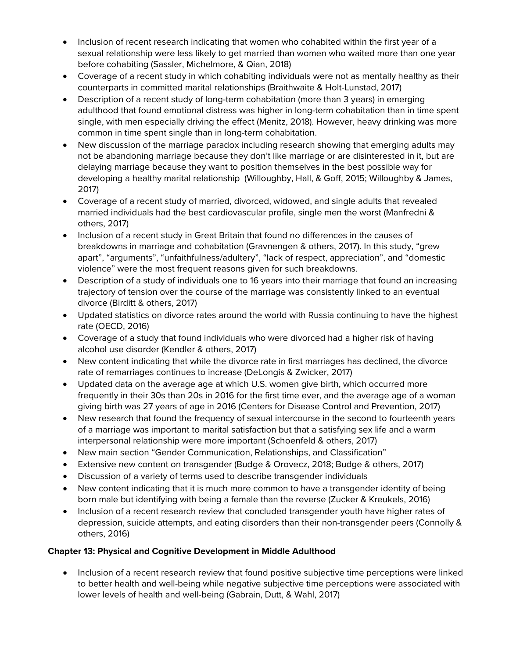- Inclusion of recent research indicating that women who cohabited within the first year of a sexual relationship were less likely to get married than women who waited more than one year before cohabiting (Sassler, Michelmore, & Qian, 2018)
- Coverage of a recent study in which cohabiting individuals were not as mentally healthy as their counterparts in committed marital relationships (Braithwaite & Holt-Lunstad, 2017)
- Description of a recent study of long-term cohabitation (more than 3 years) in emerging adulthood that found emotional distress was higher in long-term cohabitation than in time spent single, with men especially driving the effect (Menitz, 2018). However, heavy drinking was more common in time spent single than in long-term cohabitation.
- New discussion of the marriage paradox including research showing that emerging adults may not be abandoning marriage because they don't like marriage or are disinterested in it, but are delaying marriage because they want to position themselves in the best possible way for developing a healthy marital relationship (Willoughby, Hall, & Goff, 2015; Willoughby & James, 2017)
- Coverage of a recent study of married, divorced, widowed, and single adults that revealed married individuals had the best cardiovascular profile, single men the worst (Manfredni & others, 2017)
- Inclusion of a recent study in Great Britain that found no differences in the causes of breakdowns in marriage and cohabitation (Gravnengen & others, 2017). In this study, "grew apart", "arguments", "unfaithfulness/adultery", "lack of respect, appreciation", and "domestic violence" were the most frequent reasons given for such breakdowns.
- Description of a study of individuals one to 16 years into their marriage that found an increasing trajectory of tension over the course of the marriage was consistently linked to an eventual divorce (Birditt & others, 2017)
- Updated statistics on divorce rates around the world with Russia continuing to have the highest rate (OECD, 2016)
- Coverage of a study that found individuals who were divorced had a higher risk of having alcohol use disorder (Kendler & others, 2017)
- New content indicating that while the divorce rate in first marriages has declined, the divorce rate of remarriages continues to increase (DeLongis & Zwicker, 2017)
- Updated data on the average age at which U.S. women give birth, which occurred more frequently in their 30s than 20s in 2016 for the first time ever, and the average age of a woman giving birth was 27 years of age in 2016 (Centers for Disease Control and Prevention, 2017)
- New research that found the frequency of sexual intercourse in the second to fourteenth years of a marriage was important to marital satisfaction but that a satisfying sex life and a warm interpersonal relationship were more important (Schoenfeld & others, 2017)
- New main section "Gender Communication, Relationships, and Classification"
- Extensive new content on transgender (Budge & Orovecz, 2018; Budge & others, 2017)
- Discussion of a variety of terms used to describe transgender individuals
- New content indicating that it is much more common to have a transgender identity of being born male but identifying with being a female than the reverse (Zucker & Kreukels, 2016)
- Inclusion of a recent research review that concluded transgender youth have higher rates of depression, suicide attempts, and eating disorders than their non-transgender peers (Connolly & others, 2016)

# **Chapter 13: Physical and Cognitive Development in Middle Adulthood**

• Inclusion of a recent research review that found positive subjective time perceptions were linked to better health and well-being while negative subjective time perceptions were associated with lower levels of health and well-being (Gabrain, Dutt, & Wahl, 2017)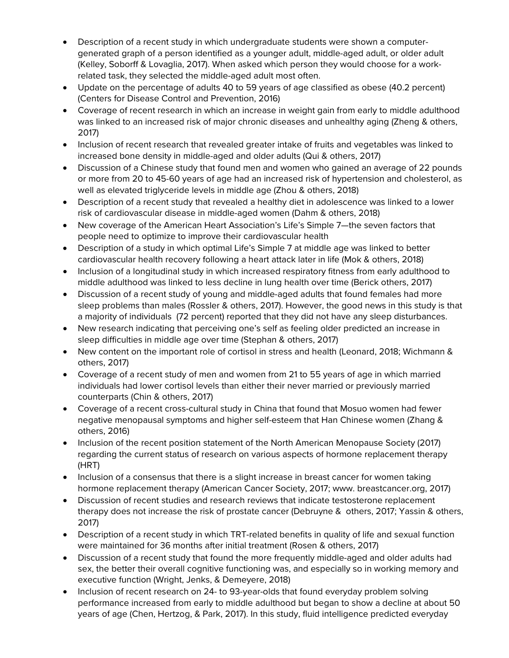- Description of a recent study in which undergraduate students were shown a computergenerated graph of a person identified as a younger adult, middle-aged adult, or older adult (Kelley, Soborff & Lovaglia, 2017). When asked which person they would choose for a workrelated task, they selected the middle-aged adult most often.
- Update on the percentage of adults 40 to 59 years of age classified as obese (40.2 percent) (Centers for Disease Control and Prevention, 2016)
- Coverage of recent research in which an increase in weight gain from early to middle adulthood was linked to an increased risk of major chronic diseases and unhealthy aging (Zheng & others, 2017)
- Inclusion of recent research that revealed greater intake of fruits and vegetables was linked to increased bone density in middle-aged and older adults (Qui & others, 2017)
- Discussion of a Chinese study that found men and women who gained an average of 22 pounds or more from 20 to 45-60 years of age had an increased risk of hypertension and cholesterol, as well as elevated triglyceride levels in middle age (Zhou & others, 2018)
- Description of a recent study that revealed a healthy diet in adolescence was linked to a lower risk of cardiovascular disease in middle-aged women (Dahm & others, 2018)
- New coverage of the American Heart Association's Life's Simple 7—the seven factors that people need to optimize to improve their cardiovascular health
- Description of a study in which optimal Life's Simple 7 at middle age was linked to better cardiovascular health recovery following a heart attack later in life (Mok & others, 2018)
- Inclusion of a longitudinal study in which increased respiratory fitness from early adulthood to middle adulthood was linked to less decline in lung health over time (Berick others, 2017)
- Discussion of a recent study of young and middle-aged adults that found females had more sleep problems than males (Rossler & others, 2017). However, the good news in this study is that a majority of individuals (72 percent) reported that they did not have any sleep disturbances.
- New research indicating that perceiving one's self as feeling older predicted an increase in sleep difficulties in middle age over time (Stephan & others, 2017)
- New content on the important role of cortisol in stress and health (Leonard, 2018; Wichmann & others, 2017)
- Coverage of a recent study of men and women from 21 to 55 years of age in which married individuals had lower cortisol levels than either their never married or previously married counterparts (Chin & others, 2017)
- Coverage of a recent cross-cultural study in China that found that Mosuo women had fewer negative menopausal symptoms and higher self-esteem that Han Chinese women (Zhang & others, 2016)
- Inclusion of the recent position statement of the North American Menopause Society (2017) regarding the current status of research on various aspects of hormone replacement therapy (HRT)
- Inclusion of a consensus that there is a slight increase in breast cancer for women taking hormone replacement therapy (American Cancer Society, 2017; www. breastcancer.org, 2017)
- Discussion of recent studies and research reviews that indicate testosterone replacement therapy does not increase the risk of prostate cancer (Debruyne & others, 2017; Yassin & others, 2017)
- Description of a recent study in which TRT-related benefits in quality of life and sexual function were maintained for 36 months after initial treatment (Rosen & others, 2017)
- Discussion of a recent study that found the more frequently middle-aged and older adults had sex, the better their overall cognitive functioning was, and especially so in working memory and executive function (Wright, Jenks, & Demeyere, 2018)
- Inclusion of recent research on 24- to 93-year-olds that found everyday problem solving performance increased from early to middle adulthood but began to show a decline at about 50 years of age (Chen, Hertzog, & Park, 2017). In this study, fluid intelligence predicted everyday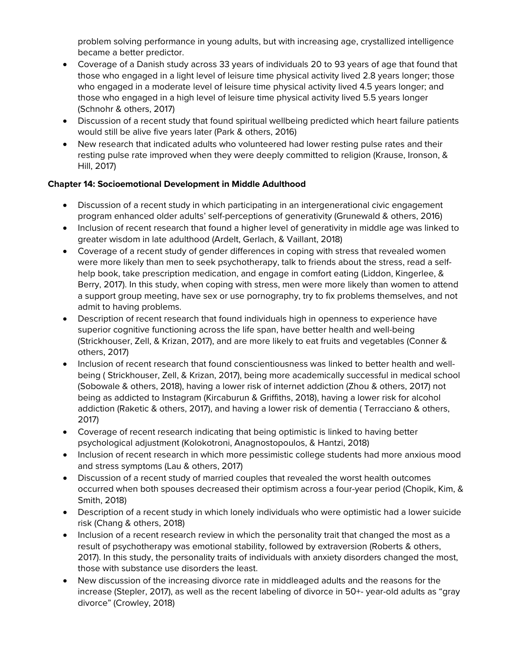problem solving performance in young adults, but with increasing age, crystallized intelligence became a better predictor.

- Coverage of a Danish study across 33 years of individuals 20 to 93 years of age that found that those who engaged in a light level of leisure time physical activity lived 2.8 years longer; those who engaged in a moderate level of leisure time physical activity lived 4.5 years longer; and those who engaged in a high level of leisure time physical activity lived 5.5 years longer (Schnohr & others, 2017)
- Discussion of a recent study that found spiritual wellbeing predicted which heart failure patients would still be alive five years later (Park & others, 2016)
- New research that indicated adults who volunteered had lower resting pulse rates and their resting pulse rate improved when they were deeply committed to religion (Krause, Ironson, & Hill, 2017)

#### **Chapter 14: Socioemotional Development in Middle Adulthood**

- Discussion of a recent study in which participating in an intergenerational civic engagement program enhanced older adults' self-perceptions of generativity (Grunewald & others, 2016)
- Inclusion of recent research that found a higher level of generativity in middle age was linked to greater wisdom in late adulthood (Ardelt, Gerlach, & Vaillant, 2018)
- Coverage of a recent study of gender differences in coping with stress that revealed women were more likely than men to seek psychotherapy, talk to friends about the stress, read a selfhelp book, take prescription medication, and engage in comfort eating (Liddon, Kingerlee, & Berry, 2017). In this study, when coping with stress, men were more likely than women to attend a support group meeting, have sex or use pornography, try to fix problems themselves, and not admit to having problems.
- Description of recent research that found individuals high in openness to experience have superior cognitive functioning across the life span, have better health and well-being (Strickhouser, Zell, & Krizan, 2017), and are more likely to eat fruits and vegetables (Conner & others, 2017)
- Inclusion of recent research that found conscientiousness was linked to better health and wellbeing ( Strickhouser, Zell, & Krizan, 2017), being more academically successful in medical school (Sobowale & others, 2018), having a lower risk of internet addiction (Zhou & others, 2017) not being as addicted to Instagram (Kircaburun & Griffiths, 2018), having a lower risk for alcohol addiction (Raketic & others, 2017), and having a lower risk of dementia ( Terracciano & others, 2017)
- Coverage of recent research indicating that being optimistic is linked to having better psychological adjustment (Kolokotroni, Anagnostopoulos, & Hantzi, 2018)
- Inclusion of recent research in which more pessimistic college students had more anxious mood and stress symptoms (Lau & others, 2017)
- Discussion of a recent study of married couples that revealed the worst health outcomes occurred when both spouses decreased their optimism across a four-year period (Chopik, Kim, & Smith, 2018)
- Description of a recent study in which lonely individuals who were optimistic had a lower suicide risk (Chang & others, 2018)
- Inclusion of a recent research review in which the personality trait that changed the most as a result of psychotherapy was emotional stability, followed by extraversion (Roberts & others, 2017). In this study, the personality traits of individuals with anxiety disorders changed the most, those with substance use disorders the least.
- New discussion of the increasing divorce rate in middleaged adults and the reasons for the increase (Stepler, 2017), as well as the recent labeling of divorce in 50+- year-old adults as "gray divorce" (Crowley, 2018)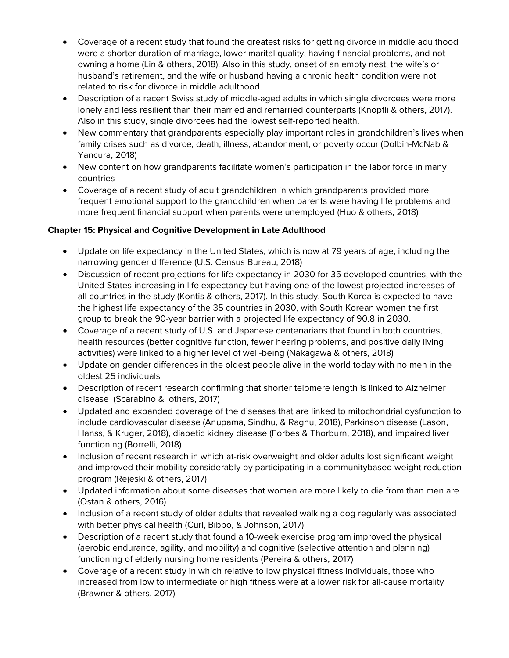- Coverage of a recent study that found the greatest risks for getting divorce in middle adulthood were a shorter duration of marriage, lower marital quality, having financial problems, and not owning a home (Lin & others, 2018). Also in this study, onset of an empty nest, the wife's or husband's retirement, and the wife or husband having a chronic health condition were not related to risk for divorce in middle adulthood.
- Description of a recent Swiss study of middle-aged adults in which single divorcees were more lonely and less resilient than their married and remarried counterparts (Knopfli & others, 2017). Also in this study, single divorcees had the lowest self-reported health.
- New commentary that grandparents especially play important roles in grandchildren's lives when family crises such as divorce, death, illness, abandonment, or poverty occur (Dolbin-McNab & Yancura, 2018)
- New content on how grandparents facilitate women's participation in the labor force in many countries
- Coverage of a recent study of adult grandchildren in which grandparents provided more frequent emotional support to the grandchildren when parents were having life problems and more frequent financial support when parents were unemployed (Huo & others, 2018)

#### **Chapter 15: Physical and Cognitive Development in Late Adulthood**

- Update on life expectancy in the United States, which is now at 79 years of age, including the narrowing gender difference (U.S. Census Bureau, 2018)
- Discussion of recent projections for life expectancy in 2030 for 35 developed countries, with the United States increasing in life expectancy but having one of the lowest projected increases of all countries in the study (Kontis & others, 2017). In this study, South Korea is expected to have the highest life expectancy of the 35 countries in 2030, with South Korean women the first group to break the 90-year barrier with a projected life expectancy of 90.8 in 2030.
- Coverage of a recent study of U.S. and Japanese centenarians that found in both countries, health resources (better cognitive function, fewer hearing problems, and positive daily living activities) were linked to a higher level of well-being (Nakagawa & others, 2018)
- Update on gender differences in the oldest people alive in the world today with no men in the oldest 25 individuals
- Description of recent research confirming that shorter telomere length is linked to Alzheimer disease (Scarabino & others, 2017)
- Updated and expanded coverage of the diseases that are linked to mitochondrial dysfunction to include cardiovascular disease (Anupama, Sindhu, & Raghu, 2018), Parkinson disease (Lason, Hanss, & Kruger, 2018), diabetic kidney disease (Forbes & Thorburn, 2018), and impaired liver functioning (Borrelli, 2018)
- Inclusion of recent research in which at-risk overweight and older adults lost significant weight and improved their mobility considerably by participating in a communitybased weight reduction program (Rejeski & others, 2017)
- Updated information about some diseases that women are more likely to die from than men are (Ostan & others, 2016)
- Inclusion of a recent study of older adults that revealed walking a dog regularly was associated with better physical health (Curl, Bibbo, & Johnson, 2017)
- Description of a recent study that found a 10-week exercise program improved the physical (aerobic endurance, agility, and mobility) and cognitive (selective attention and planning) functioning of elderly nursing home residents (Pereira & others, 2017)
- Coverage of a recent study in which relative to low physical fitness individuals, those who increased from low to intermediate or high fitness were at a lower risk for all-cause mortality (Brawner & others, 2017)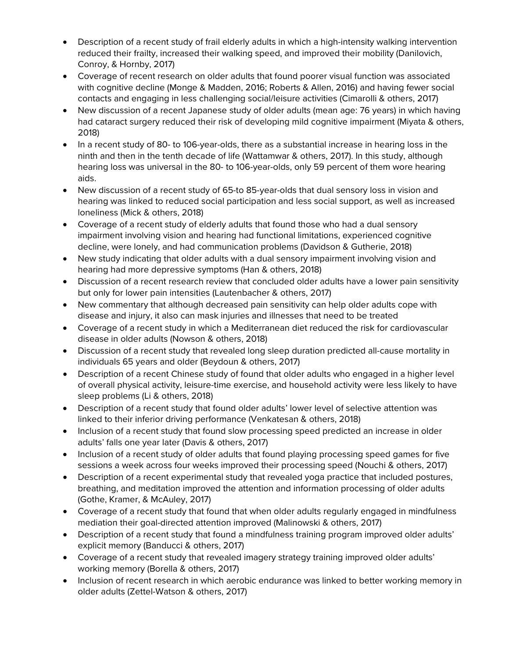- Description of a recent study of frail elderly adults in which a high-intensity walking intervention reduced their frailty, increased their walking speed, and improved their mobility (Danilovich, Conroy, & Hornby, 2017)
- Coverage of recent research on older adults that found poorer visual function was associated with cognitive decline (Monge & Madden, 2016; Roberts & Allen, 2016) and having fewer social contacts and engaging in less challenging social/leisure activities (Cimarolli & others, 2017)
- New discussion of a recent Japanese study of older adults (mean age: 76 years) in which having had cataract surgery reduced their risk of developing mild cognitive impairment (Miyata & others, 2018)
- In a recent study of 80- to 106-year-olds, there as a substantial increase in hearing loss in the ninth and then in the tenth decade of life (Wattamwar & others, 2017). In this study, although hearing loss was universal in the 80- to 106-year-olds, only 59 percent of them wore hearing aids.
- New discussion of a recent study of 65-to 85-year-olds that dual sensory loss in vision and hearing was linked to reduced social participation and less social support, as well as increased loneliness (Mick & others, 2018)
- Coverage of a recent study of elderly adults that found those who had a dual sensory impairment involving vision and hearing had functional limitations, experienced cognitive decline, were lonely, and had communication problems (Davidson & Gutherie, 2018)
- New study indicating that older adults with a dual sensory impairment involving vision and hearing had more depressive symptoms (Han & others, 2018)
- Discussion of a recent research review that concluded older adults have a lower pain sensitivity but only for lower pain intensities (Lautenbacher & others, 2017)
- New commentary that although decreased pain sensitivity can help older adults cope with disease and injury, it also can mask injuries and illnesses that need to be treated
- Coverage of a recent study in which a Mediterranean diet reduced the risk for cardiovascular disease in older adults (Nowson & others, 2018)
- Discussion of a recent study that revealed long sleep duration predicted all-cause mortality in individuals 65 years and older (Beydoun & others, 2017)
- Description of a recent Chinese study of found that older adults who engaged in a higher level of overall physical activity, leisure-time exercise, and household activity were less likely to have sleep problems (Li & others, 2018)
- Description of a recent study that found older adults' lower level of selective attention was linked to their inferior driving performance (Venkatesan & others, 2018)
- Inclusion of a recent study that found slow processing speed predicted an increase in older adults' falls one year later (Davis & others, 2017)
- Inclusion of a recent study of older adults that found playing processing speed games for five sessions a week across four weeks improved their processing speed (Nouchi & others, 2017)
- Description of a recent experimental study that revealed yoga practice that included postures, breathing, and meditation improved the attention and information processing of older adults (Gothe, Kramer, & McAuley, 2017)
- Coverage of a recent study that found that when older adults regularly engaged in mindfulness mediation their goal-directed attention improved (Malinowski & others, 2017)
- Description of a recent study that found a mindfulness training program improved older adults' explicit memory (Banducci & others, 2017)
- Coverage of a recent study that revealed imagery strategy training improved older adults' working memory (Borella & others, 2017)
- Inclusion of recent research in which aerobic endurance was linked to better working memory in older adults (Zettel-Watson & others, 2017)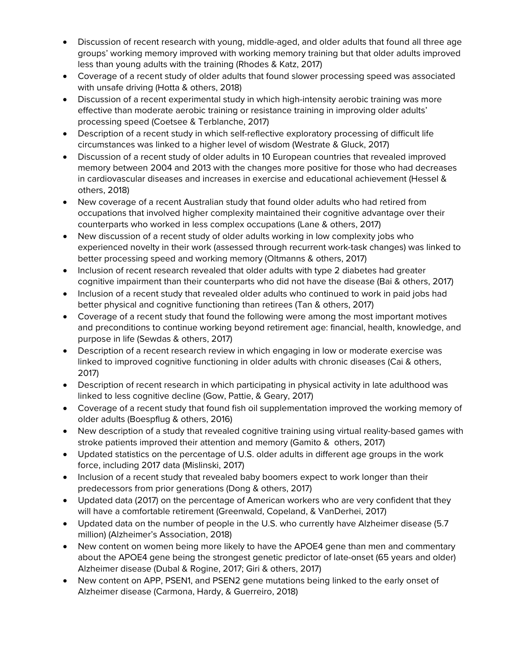- Discussion of recent research with young, middle-aged, and older adults that found all three age groups' working memory improved with working memory training but that older adults improved less than young adults with the training (Rhodes & Katz, 2017)
- Coverage of a recent study of older adults that found slower processing speed was associated with unsafe driving (Hotta & others, 2018)
- Discussion of a recent experimental study in which high-intensity aerobic training was more effective than moderate aerobic training or resistance training in improving older adults' processing speed (Coetsee & Terblanche, 2017)
- Description of a recent study in which self-reflective exploratory processing of difficult life circumstances was linked to a higher level of wisdom (Westrate & Gluck, 2017)
- Discussion of a recent study of older adults in 10 European countries that revealed improved memory between 2004 and 2013 with the changes more positive for those who had decreases in cardiovascular diseases and increases in exercise and educational achievement (Hessel & others, 2018)
- New coverage of a recent Australian study that found older adults who had retired from occupations that involved higher complexity maintained their cognitive advantage over their counterparts who worked in less complex occupations (Lane & others, 2017)
- New discussion of a recent study of older adults working in low complexity jobs who experienced novelty in their work (assessed through recurrent work-task changes) was linked to better processing speed and working memory (Oltmanns & others, 2017)
- Inclusion of recent research revealed that older adults with type 2 diabetes had greater cognitive impairment than their counterparts who did not have the disease (Bai & others, 2017)
- Inclusion of a recent study that revealed older adults who continued to work in paid jobs had better physical and cognitive functioning than retirees (Tan & others, 2017)
- Coverage of a recent study that found the following were among the most important motives and preconditions to continue working beyond retirement age: financial, health, knowledge, and purpose in life (Sewdas & others, 2017)
- Description of a recent research review in which engaging in low or moderate exercise was linked to improved cognitive functioning in older adults with chronic diseases (Cai & others, 2017)
- Description of recent research in which participating in physical activity in late adulthood was linked to less cognitive decline (Gow, Pattie, & Geary, 2017)
- Coverage of a recent study that found fish oil supplementation improved the working memory of older adults (Boespflug & others, 2016)
- New description of a study that revealed cognitive training using virtual reality-based games with stroke patients improved their attention and memory (Gamito & others, 2017)
- Updated statistics on the percentage of U.S. older adults in different age groups in the work force, including 2017 data (Mislinski, 2017)
- Inclusion of a recent study that revealed baby boomers expect to work longer than their predecessors from prior generations (Dong & others, 2017)
- Updated data (2017) on the percentage of American workers who are very confident that they will have a comfortable retirement (Greenwald, Copeland, & VanDerhei, 2017)
- Updated data on the number of people in the U.S. who currently have Alzheimer disease (5.7 million) (Alzheimer's Association, 2018)
- New content on women being more likely to have the APOE4 gene than men and commentary about the APOE4 gene being the strongest genetic predictor of late-onset (65 years and older) Alzheimer disease (Dubal & Rogine, 2017; Giri & others, 2017)
- New content on APP, PSEN1, and PSEN2 gene mutations being linked to the early onset of Alzheimer disease (Carmona, Hardy, & Guerreiro, 2018)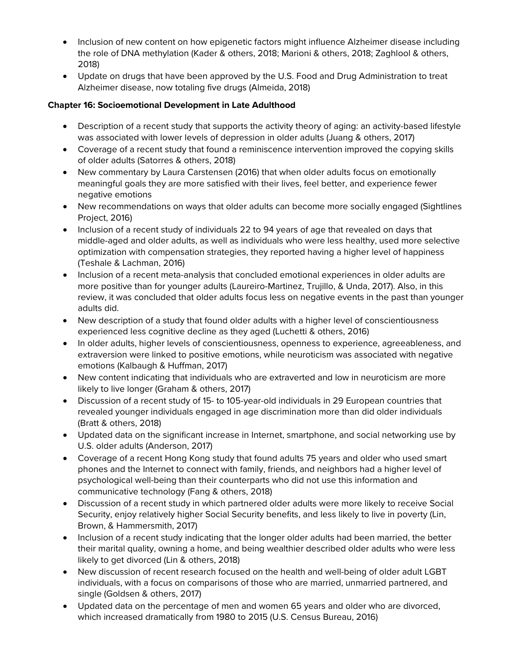- Inclusion of new content on how epigenetic factors might influence Alzheimer disease including the role of DNA methylation (Kader & others, 2018; Marioni & others, 2018; Zaghlool & others, 2018)
- Update on drugs that have been approved by the U.S. Food and Drug Administration to treat Alzheimer disease, now totaling five drugs (Almeida, 2018)

# **Chapter 16: Socioemotional Development in Late Adulthood**

- Description of a recent study that supports the activity theory of aging: an activity-based lifestyle was associated with lower levels of depression in older adults (Juang & others, 2017)
- Coverage of a recent study that found a reminiscence intervention improved the copying skills of older adults (Satorres & others, 2018)
- New commentary by Laura Carstensen (2016) that when older adults focus on emotionally meaningful goals they are more satisfied with their lives, feel better, and experience fewer negative emotions
- New recommendations on ways that older adults can become more socially engaged (Sightlines Project, 2016)
- Inclusion of a recent study of individuals 22 to 94 years of age that revealed on days that middle-aged and older adults, as well as individuals who were less healthy, used more selective optimization with compensation strategies, they reported having a higher level of happiness (Teshale & Lachman, 2016)
- Inclusion of a recent meta-analysis that concluded emotional experiences in older adults are more positive than for younger adults (Laureiro-Martinez, Trujillo, & Unda, 2017). Also, in this review, it was concluded that older adults focus less on negative events in the past than younger adults did.
- New description of a study that found older adults with a higher level of conscientiousness experienced less cognitive decline as they aged (Luchetti & others, 2016)
- In older adults, higher levels of conscientiousness, openness to experience, agreeableness, and extraversion were linked to positive emotions, while neuroticism was associated with negative emotions (Kalbaugh & Huffman, 2017)
- New content indicating that individuals who are extraverted and low in neuroticism are more likely to live longer (Graham & others, 2017)
- Discussion of a recent study of 15- to 105-year-old individuals in 29 European countries that revealed younger individuals engaged in age discrimination more than did older individuals (Bratt & others, 2018)
- Updated data on the significant increase in Internet, smartphone, and social networking use by U.S. older adults (Anderson, 2017)
- Coverage of a recent Hong Kong study that found adults 75 years and older who used smart phones and the Internet to connect with family, friends, and neighbors had a higher level of psychological well-being than their counterparts who did not use this information and communicative technology (Fang & others, 2018)
- Discussion of a recent study in which partnered older adults were more likely to receive Social Security, enjoy relatively higher Social Security benefits, and less likely to live in poverty (Lin, Brown, & Hammersmith, 2017)
- Inclusion of a recent study indicating that the longer older adults had been married, the better their marital quality, owning a home, and being wealthier described older adults who were less likely to get divorced (Lin & others, 2018)
- New discussion of recent research focused on the health and well-being of older adult LGBT individuals, with a focus on comparisons of those who are married, unmarried partnered, and single (Goldsen & others, 2017)
- Updated data on the percentage of men and women 65 years and older who are divorced, which increased dramatically from 1980 to 2015 (U.S. Census Bureau, 2016)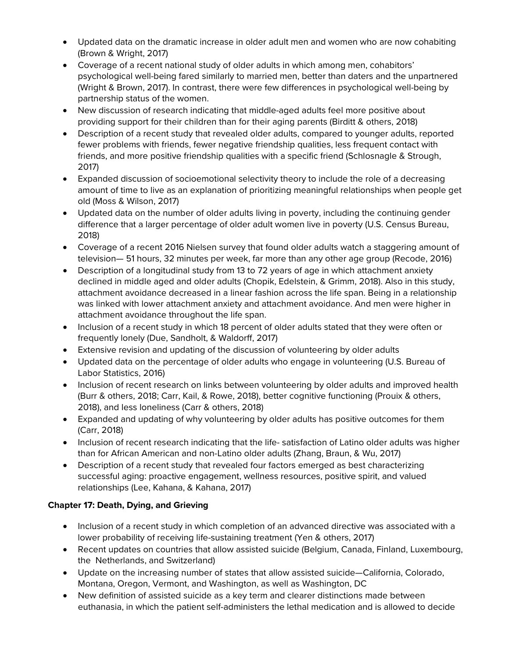- Updated data on the dramatic increase in older adult men and women who are now cohabiting (Brown & Wright, 2017)
- Coverage of a recent national study of older adults in which among men, cohabitors' psychological well-being fared similarly to married men, better than daters and the unpartnered (Wright & Brown, 2017). In contrast, there were few differences in psychological well-being by partnership status of the women.
- New discussion of research indicating that middle-aged adults feel more positive about providing support for their children than for their aging parents (Birditt & others, 2018)
- Description of a recent study that revealed older adults, compared to younger adults, reported fewer problems with friends, fewer negative friendship qualities, less frequent contact with friends, and more positive friendship qualities with a specific friend (Schlosnagle & Strough, 2017)
- Expanded discussion of socioemotional selectivity theory to include the role of a decreasing amount of time to live as an explanation of prioritizing meaningful relationships when people get old (Moss & Wilson, 2017)
- Updated data on the number of older adults living in poverty, including the continuing gender difference that a larger percentage of older adult women live in poverty (U.S. Census Bureau, 2018)
- Coverage of a recent 2016 Nielsen survey that found older adults watch a staggering amount of television— 51 hours, 32 minutes per week, far more than any other age group (Recode, 2016)
- Description of a longitudinal study from 13 to 72 years of age in which attachment anxiety declined in middle aged and older adults (Chopik, Edelstein, & Grimm, 2018). Also in this study, attachment avoidance decreased in a linear fashion across the life span. Being in a relationship was linked with lower attachment anxiety and attachment avoidance. And men were higher in attachment avoidance throughout the life span.
- Inclusion of a recent study in which 18 percent of older adults stated that they were often or frequently lonely (Due, Sandholt, & Waldorff, 2017)
- Extensive revision and updating of the discussion of volunteering by older adults
- Updated data on the percentage of older adults who engage in volunteering (U.S. Bureau of Labor Statistics, 2016)
- Inclusion of recent research on links between volunteering by older adults and improved health (Burr & others, 2018; Carr, Kail, & Rowe, 2018), better cognitive functioning (Prouix & others, 2018), and less loneliness (Carr & others, 2018)
- Expanded and updating of why volunteering by older adults has positive outcomes for them (Carr, 2018)
- Inclusion of recent research indicating that the life- satisfaction of Latino older adults was higher than for African American and non-Latino older adults (Zhang, Braun, & Wu, 2017)
- Description of a recent study that revealed four factors emerged as best characterizing successful aging: proactive engagement, wellness resources, positive spirit, and valued relationships (Lee, Kahana, & Kahana, 2017)

# **Chapter 17: Death, Dying, and Grieving**

- Inclusion of a recent study in which completion of an advanced directive was associated with a lower probability of receiving life-sustaining treatment (Yen & others, 2017)
- Recent updates on countries that allow assisted suicide (Belgium, Canada, Finland, Luxembourg, the Netherlands, and Switzerland)
- Update on the increasing number of states that allow assisted suicide—California, Colorado, Montana, Oregon, Vermont, and Washington, as well as Washington, DC
- New definition of assisted suicide as a key term and clearer distinctions made between euthanasia, in which the patient self-administers the lethal medication and is allowed to decide